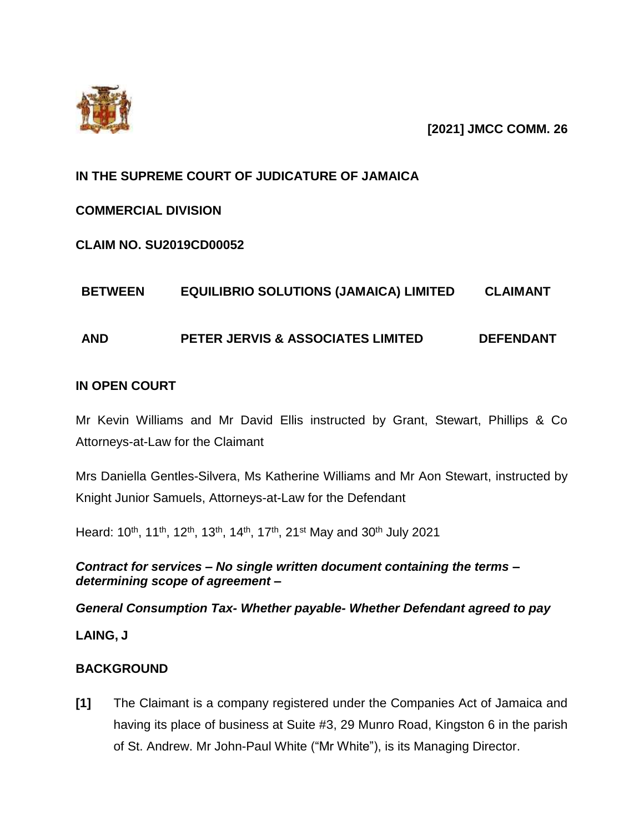

**[2021] JMCC COMM. 26**

# **IN THE SUPREME COURT OF JUDICATURE OF JAMAICA**

# **COMMERCIAL DIVISION**

# **CLAIM NO. SU2019CD00052**

# **BETWEEN EQUILIBRIO SOLUTIONS (JAMAICA) LIMITED CLAIMANT**

# **AND PETER JERVIS & ASSOCIATES LIMITED DEFENDANT**

## **IN OPEN COURT**

Mr Kevin Williams and Mr David Ellis instructed by Grant, Stewart, Phillips & Co Attorneys-at-Law for the Claimant

Mrs Daniella Gentles-Silvera, Ms Katherine Williams and Mr Aon Stewart, instructed by Knight Junior Samuels, Attorneys-at-Law for the Defendant

Heard: 10<sup>th</sup>, 11<sup>th</sup>, 12<sup>th</sup>, 13<sup>th</sup>, 14<sup>th</sup>, 17<sup>th</sup>, 21<sup>st</sup> May and 30<sup>th</sup> July 2021

*Contract for services – No single written document containing the terms – determining scope of agreement –*

# *General Consumption Tax- Whether payable- Whether Defendant agreed to pay*

**LAING, J**

# **BACKGROUND**

**[1]** The Claimant is a company registered under the Companies Act of Jamaica and having its place of business at Suite #3, 29 Munro Road, Kingston 6 in the parish of St. Andrew. Mr John-Paul White ("Mr White"), is its Managing Director.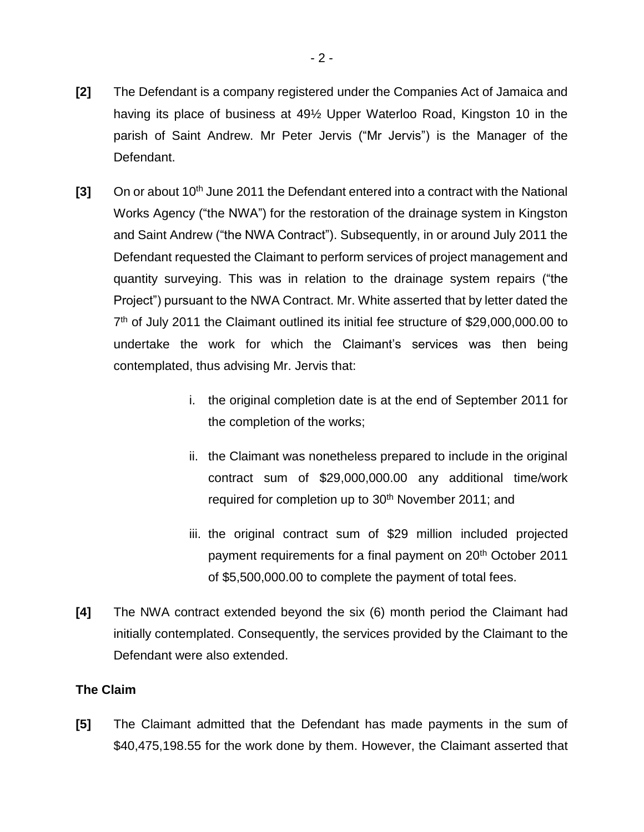- **[2]** The Defendant is a company registered under the Companies Act of Jamaica and having its place of business at 49½ Upper Waterloo Road, Kingston 10 in the parish of Saint Andrew. Mr Peter Jervis ("Mr Jervis") is the Manager of the Defendant.
- **[3]** On or about 10<sup>th</sup> June 2011 the Defendant entered into a contract with the National Works Agency ("the NWA") for the restoration of the drainage system in Kingston and Saint Andrew ("the NWA Contract"). Subsequently, in or around July 2011 the Defendant requested the Claimant to perform services of project management and quantity surveying. This was in relation to the drainage system repairs ("the Project") pursuant to the NWA Contract. Mr. White asserted that by letter dated the 7<sup>th</sup> of July 2011 the Claimant outlined its initial fee structure of \$29,000,000.00 to undertake the work for which the Claimant's services was then being contemplated, thus advising Mr. Jervis that:
	- i. the original completion date is at the end of September 2011 for the completion of the works;
	- ii. the Claimant was nonetheless prepared to include in the original contract sum of \$29,000,000.00 any additional time/work required for completion up to 30<sup>th</sup> November 2011; and
	- iii. the original contract sum of \$29 million included projected payment requirements for a final payment on 20<sup>th</sup> October 2011 of \$5,500,000.00 to complete the payment of total fees.
- **[4]** The NWA contract extended beyond the six (6) month period the Claimant had initially contemplated. Consequently, the services provided by the Claimant to the Defendant were also extended.

## **The Claim**

**[5]** The Claimant admitted that the Defendant has made payments in the sum of \$40,475,198.55 for the work done by them. However, the Claimant asserted that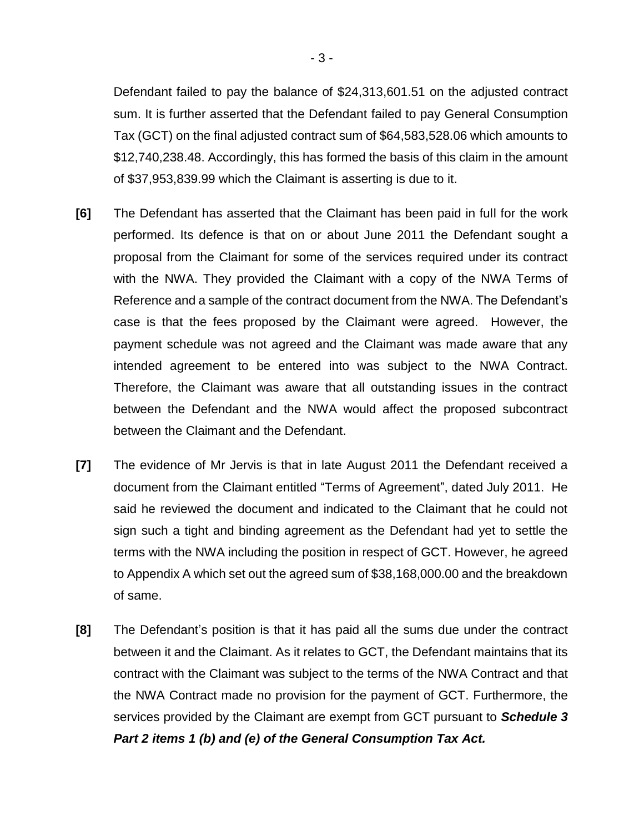Defendant failed to pay the balance of \$24,313,601.51 on the adjusted contract sum. It is further asserted that the Defendant failed to pay General Consumption Tax (GCT) on the final adjusted contract sum of \$64,583,528.06 which amounts to \$12,740,238.48. Accordingly, this has formed the basis of this claim in the amount of \$37,953,839.99 which the Claimant is asserting is due to it.

- **[6]** The Defendant has asserted that the Claimant has been paid in full for the work performed. Its defence is that on or about June 2011 the Defendant sought a proposal from the Claimant for some of the services required under its contract with the NWA. They provided the Claimant with a copy of the NWA Terms of Reference and a sample of the contract document from the NWA. The Defendant's case is that the fees proposed by the Claimant were agreed. However, the payment schedule was not agreed and the Claimant was made aware that any intended agreement to be entered into was subject to the NWA Contract. Therefore, the Claimant was aware that all outstanding issues in the contract between the Defendant and the NWA would affect the proposed subcontract between the Claimant and the Defendant.
- **[7]** The evidence of Mr Jervis is that in late August 2011 the Defendant received a document from the Claimant entitled "Terms of Agreement", dated July 2011. He said he reviewed the document and indicated to the Claimant that he could not sign such a tight and binding agreement as the Defendant had yet to settle the terms with the NWA including the position in respect of GCT. However, he agreed to Appendix A which set out the agreed sum of \$38,168,000.00 and the breakdown of same.
- **[8]** The Defendant's position is that it has paid all the sums due under the contract between it and the Claimant. As it relates to GCT, the Defendant maintains that its contract with the Claimant was subject to the terms of the NWA Contract and that the NWA Contract made no provision for the payment of GCT. Furthermore, the services provided by the Claimant are exempt from GCT pursuant to *Schedule 3 Part 2 items 1 (b) and (e) of the General Consumption Tax Act.*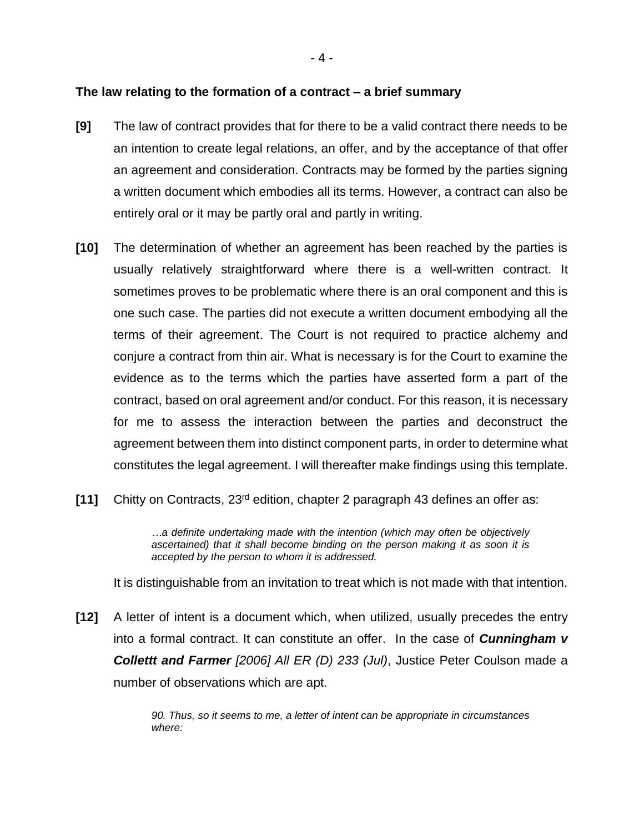### **The law relating to the formation of a contract – a brief summary**

- **[9]** The law of contract provides that for there to be a valid contract there needs to be an intention to create legal relations, an offer, and by the acceptance of that offer an agreement and consideration. Contracts may be formed by the parties signing a written document which embodies all its terms. However, a contract can also be entirely oral or it may be partly oral and partly in writing.
- **[10]** The determination of whether an agreement has been reached by the parties is usually relatively straightforward where there is a well-written contract. It sometimes proves to be problematic where there is an oral component and this is one such case. The parties did not execute a written document embodying all the terms of their agreement. The Court is not required to practice alchemy and conjure a contract from thin air. What is necessary is for the Court to examine the evidence as to the terms which the parties have asserted form a part of the contract, based on oral agreement and/or conduct. For this reason, it is necessary for me to assess the interaction between the parties and deconstruct the agreement between them into distinct component parts, in order to determine what constitutes the legal agreement. I will thereafter make findings using this template.
- **[11]** Chitty on Contracts, 23rd edition, chapter 2 paragraph 43 defines an offer as:

*…a definite undertaking made with the intention (which may often be objectively ascertained) that it shall become binding on the person making it as soon it is accepted by the person to whom it is addressed.*

It is distinguishable from an invitation to treat which is not made with that intention.

**[12]** A letter of intent is a document which, when utilized, usually precedes the entry into a formal contract. It can constitute an offer. In the case of *Cunningham v Collettt and Farmer [2006] All ER (D) 233 (Jul)*, Justice Peter Coulson made a number of observations which are apt.

> *90. Thus, so it seems to me, a letter of intent can be appropriate in circumstances where:*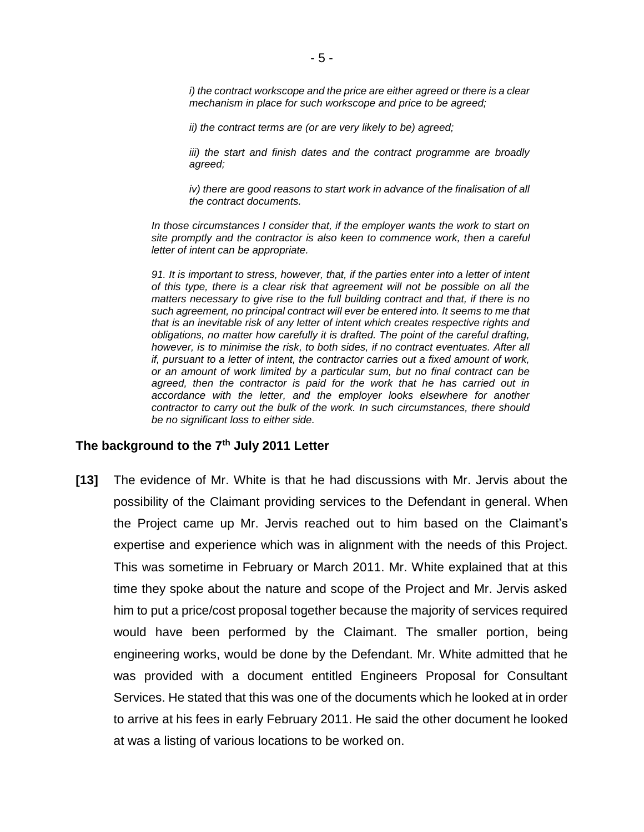*i)* the contract workscope and the price are either agreed or there is a clear *mechanism in place for such workscope and price to be agreed;*

*ii) the contract terms are (or are very likely to be) agreed;*

*iii) the start and finish dates and the contract programme are broadly agreed;*

*iv) there are good reasons to start work in advance of the finalisation of all the contract documents.* 

*In those circumstances I consider that, if the employer wants the work to start on site promptly and the contractor is also keen to commence work, then a careful letter of intent can be appropriate.*

*91. It is important to stress, however, that, if the parties enter into a letter of intent of this type, there is a clear risk that agreement will not be possible on all the matters necessary to give rise to the full building contract and that, if there is no such agreement, no principal contract will ever be entered into. It seems to me that that is an inevitable risk of any letter of intent which creates respective rights and obligations, no matter how carefully it is drafted. The point of the careful drafting, however, is to minimise the risk, to both sides, if no contract eventuates. After all if, pursuant to a letter of intent, the contractor carries out a fixed amount of work, or an amount of work limited by a particular sum, but no final contract can be agreed, then the contractor is paid for the work that he has carried out in accordance with the letter, and the employer looks elsewhere for another contractor to carry out the bulk of the work. In such circumstances, there should be no significant loss to either side.*

#### **The background to the 7th July 2011 Letter**

**[13]** The evidence of Mr. White is that he had discussions with Mr. Jervis about the possibility of the Claimant providing services to the Defendant in general. When the Project came up Mr. Jervis reached out to him based on the Claimant's expertise and experience which was in alignment with the needs of this Project. This was sometime in February or March 2011. Mr. White explained that at this time they spoke about the nature and scope of the Project and Mr. Jervis asked him to put a price/cost proposal together because the majority of services required would have been performed by the Claimant. The smaller portion, being engineering works, would be done by the Defendant. Mr. White admitted that he was provided with a document entitled Engineers Proposal for Consultant Services. He stated that this was one of the documents which he looked at in order to arrive at his fees in early February 2011. He said the other document he looked at was a listing of various locations to be worked on.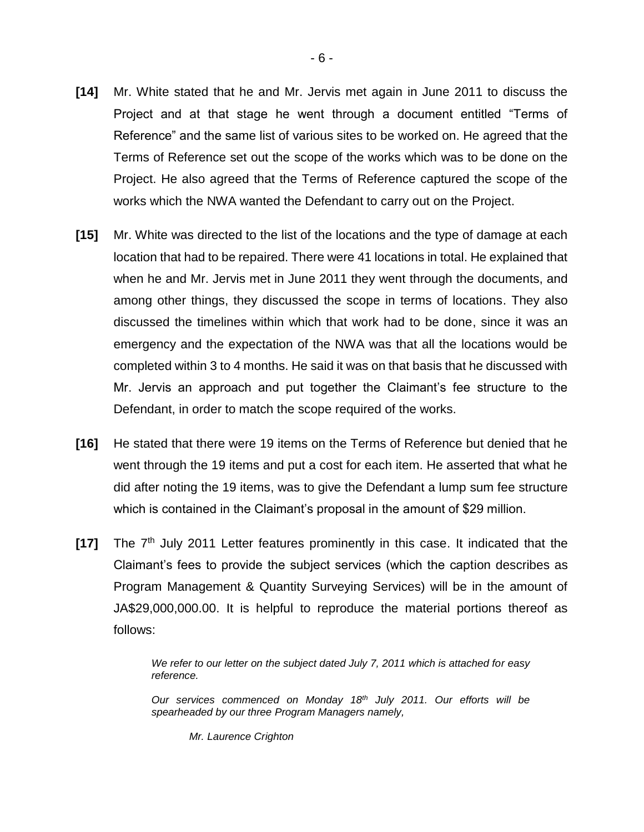- **[14]** Mr. White stated that he and Mr. Jervis met again in June 2011 to discuss the Project and at that stage he went through a document entitled "Terms of Reference" and the same list of various sites to be worked on. He agreed that the Terms of Reference set out the scope of the works which was to be done on the Project. He also agreed that the Terms of Reference captured the scope of the works which the NWA wanted the Defendant to carry out on the Project.
- **[15]** Mr. White was directed to the list of the locations and the type of damage at each location that had to be repaired. There were 41 locations in total. He explained that when he and Mr. Jervis met in June 2011 they went through the documents, and among other things, they discussed the scope in terms of locations. They also discussed the timelines within which that work had to be done, since it was an emergency and the expectation of the NWA was that all the locations would be completed within 3 to 4 months. He said it was on that basis that he discussed with Mr. Jervis an approach and put together the Claimant's fee structure to the Defendant, in order to match the scope required of the works.
- **[16]** He stated that there were 19 items on the Terms of Reference but denied that he went through the 19 items and put a cost for each item. He asserted that what he did after noting the 19 items, was to give the Defendant a lump sum fee structure which is contained in the Claimant's proposal in the amount of \$29 million.
- **[17]** The 7<sup>th</sup> July 2011 Letter features prominently in this case. It indicated that the Claimant's fees to provide the subject services (which the caption describes as Program Management & Quantity Surveying Services) will be in the amount of JA\$29,000,000.00. It is helpful to reproduce the material portions thereof as follows:

*We refer to our letter on the subject dated July 7, 2011 which is attached for easy reference.*

*Our services commenced on Monday 18th July 2011. Our efforts will be spearheaded by our three Program Managers namely,*

*Mr. Laurence Crighton*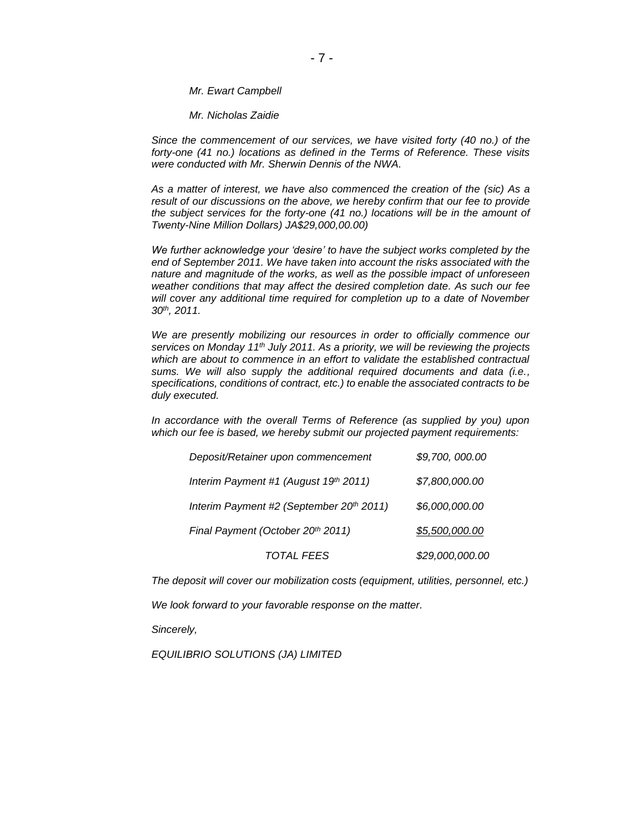*Mr. Ewart Campbell*

*Mr. Nicholas Zaidie*

*Since the commencement of our services, we have visited forty (40 no.) of the forty-one (41 no.) locations as defined in the Terms of Reference. These visits were conducted with Mr. Sherwin Dennis of the NWA.*

*As a matter of interest, we have also commenced the creation of the (sic) As a result of our discussions on the above, we hereby confirm that our fee to provide the subject services for the forty-one (41 no.) locations will be in the amount of Twenty-Nine Million Dollars) JA\$29,000,00.00)*

*We further acknowledge your 'desire' to have the subject works completed by the end of September 2011. We have taken into account the risks associated with the nature and magnitude of the works, as well as the possible impact of unforeseen weather conditions that may affect the desired completion date. As such our fee*  will cover any additional time required for completion up to a date of November *30th, 2011.*

*We are presently mobilizing our resources in order to officially commence our services on Monday 11th July 2011. As a priority, we will be reviewing the projects*  which are about to commence in an effort to validate the established contractual *sums. We will also supply the additional required documents and data (i.e., specifications, conditions of contract, etc.) to enable the associated contracts to be duly executed.*

*In accordance with the overall Terms of Reference (as supplied by you) upon which our fee is based, we hereby submit our projected payment requirements:*

| Deposit/Retainer upon commencement                   | \$9,700,000.00  |
|------------------------------------------------------|-----------------|
| Interim Payment #1 (August 19th 2011)                | \$7,800,000.00  |
| Interim Payment #2 (September 20 <sup>th</sup> 2011) | \$6,000,000.00  |
| Final Payment (October 20th 2011)                    | \$5,500,000.00  |
| <b>TOTAL FEES</b>                                    | \$29,000,000.00 |

*The deposit will cover our mobilization costs (equipment, utilities, personnel, etc.)*

*We look forward to your favorable response on the matter.*

*Sincerely,*

*EQUILIBRIO SOLUTIONS (JA) LIMITED*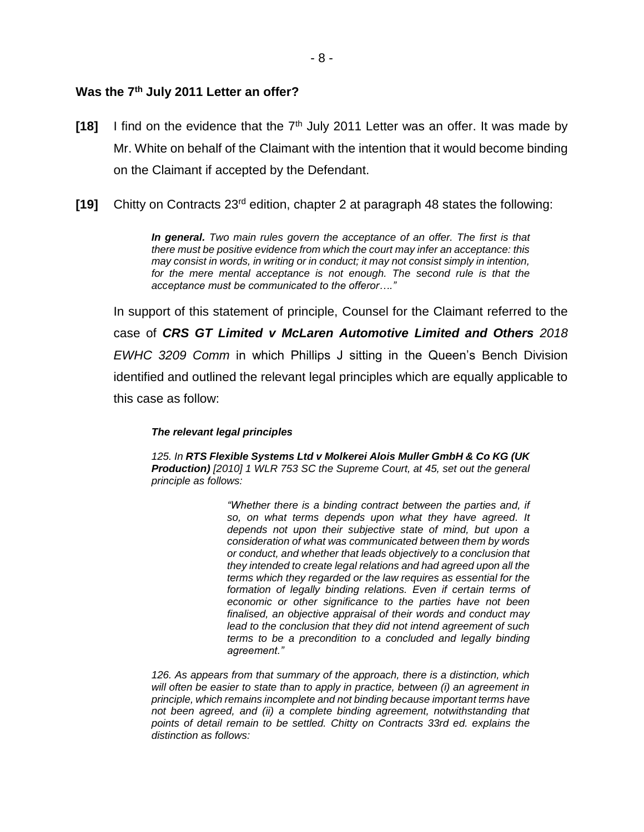#### **Was the 7th July 2011 Letter an offer?**

- **[18]** I find on the evidence that the 7<sup>th</sup> July 2011 Letter was an offer. It was made by Mr. White on behalf of the Claimant with the intention that it would become binding on the Claimant if accepted by the Defendant.
- **[19]** Chitty on Contracts 23rd edition, chapter 2 at paragraph 48 states the following:

*In general. Two main rules govern the acceptance of an offer. The first is that there must be positive evidence from which the court may infer an acceptance: this may consist in words, in writing or in conduct; it may not consist simply in intention, for the mere mental acceptance is not enough. The second rule is that the acceptance must be communicated to the offeror…."*

In support of this statement of principle, Counsel for the Claimant referred to the case of *CRS GT Limited v McLaren Automotive Limited and Others 2018 EWHC 3209 Comm* in which Phillips J sitting in the Queen's Bench Division identified and outlined the relevant legal principles which are equally applicable to this case as follow:

#### *The relevant legal principles*

*125. In RTS Flexible Systems Ltd v Molkerei Alois Muller GmbH & Co KG (UK Production) [\[2010\] 1 WLR 753 S](https://www.lexisnexis.com/uk/legal/citationlinkHandler.faces?bct=A&service=citation&risb=&WLR&$sel1!%252010%25$year!%252010%25$sel2!%251%25$vol!%251%25$page!%25753%25)C the Supreme Court, at 45, set out the general principle as follows:*

> *"Whether there is a binding contract between the parties and, if so, on what terms depends upon what they have agreed. It depends not upon their subjective state of mind, but upon a consideration of what was communicated between them by words or conduct, and whether that leads objectively to a conclusion that they intended to create legal relations and had agreed upon all the terms which they regarded or the law requires as essential for the formation of legally binding relations. Even if certain terms of economic or other significance to the parties have not been finalised, an objective appraisal of their words and conduct may lead to the conclusion that they did not intend agreement of such terms to be a precondition to a concluded and legally binding agreement."*

*126. As appears from that summary of the approach, there is a distinction, which*  will often be easier to state than to apply in practice, between (i) an agreement in *principle, which remains incomplete and not binding because important terms have not been agreed, and (ii) a complete binding agreement, notwithstanding that points of detail remain to be settled. Chitty on Contracts 33rd ed. explains the distinction as follows:*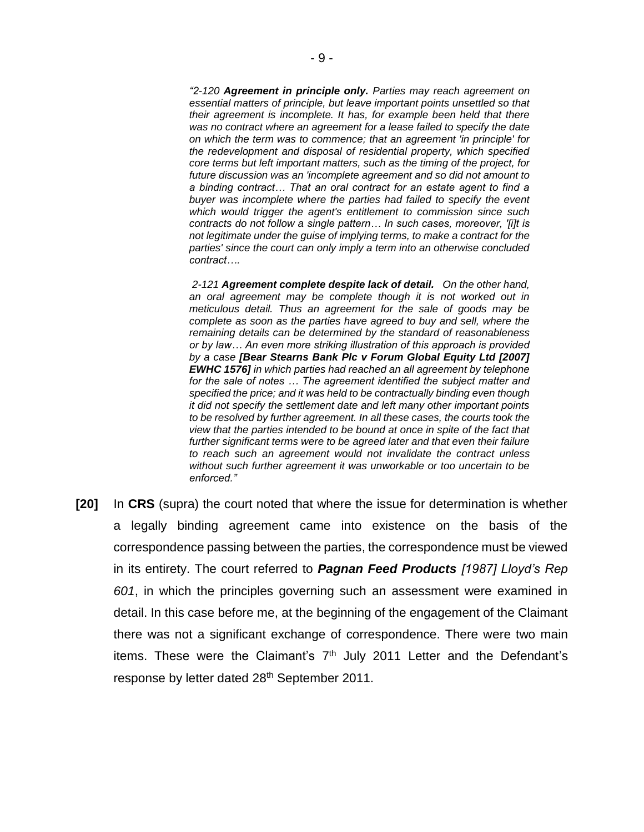*"2-120 Agreement in principle only. Parties may reach agreement on essential matters of principle, but leave important points unsettled so that their agreement is incomplete. It has, for example been held that there was no contract where an agreement for a lease failed to specify the date on which the term was to commence; that an agreement 'in principle' for the redevelopment and disposal of residential property, which specified core terms but left important matters, such as the timing of the project, for future discussion was an 'incomplete agreement and so did not amount to a binding contract… That an oral contract for an estate agent to find a buyer was incomplete where the parties had failed to specify the event which would trigger the agent's entitlement to commission since such contracts do not follow a single pattern… In such cases, moreover, '[i]t is not legitimate under the guise of implying terms, to make a contract for the parties' since the court can only imply a term into an otherwise concluded contract….*

*2-121 Agreement complete despite lack of detail. On the other hand, an oral agreement may be complete though it is not worked out in meticulous detail. Thus an agreement for the sale of goods may be complete as soon as the parties have agreed to buy and sell, where the remaining details can be determined by the standard of reasonableness or by law… An even more striking illustration of this approach is provided by a case [Bear Stearns Bank Plc v Forum Global Equity Ltd [2007] EWHC 1576] in which parties had reached an all agreement by telephone for the sale of notes … The agreement identified the subject matter and specified the price; and it was held to be contractually binding even though it did not specify the settlement date and left many other important points to be resolved by further agreement. In all these cases, the courts took the view that the parties intended to be bound at once in spite of the fact that further significant terms were to be agreed later and that even their failure to reach such an agreement would not invalidate the contract unless without such further agreement it was unworkable or too uncertain to be enforced."*

**[20]** In **CRS** (supra) the court noted that where the issue for determination is whether a legally binding agreement came into existence on the basis of the correspondence passing between the parties, the correspondence must be viewed in its entirety. The court referred to *Pagnan Feed Products [1987] Lloyd's Rep 601*, in which the principles governing such an assessment were examined in detail. In this case before me, at the beginning of the engagement of the Claimant there was not a significant exchange of correspondence. There were two main items. These were the Claimant's  $7<sup>th</sup>$  July 2011 Letter and the Defendant's response by letter dated 28<sup>th</sup> September 2011.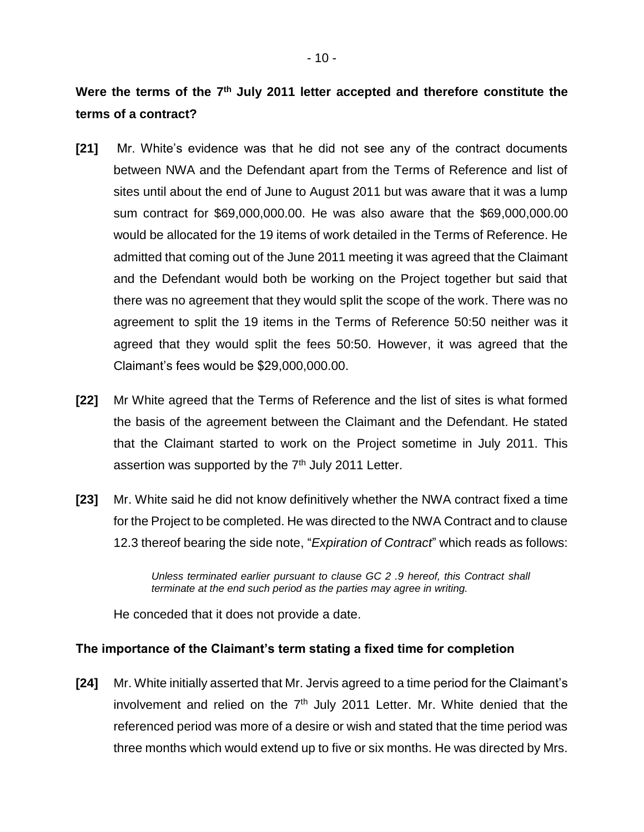- **[21]** Mr. White's evidence was that he did not see any of the contract documents between NWA and the Defendant apart from the Terms of Reference and list of sites until about the end of June to August 2011 but was aware that it was a lump sum contract for \$69,000,000.00. He was also aware that the \$69,000,000.00 would be allocated for the 19 items of work detailed in the Terms of Reference. He admitted that coming out of the June 2011 meeting it was agreed that the Claimant and the Defendant would both be working on the Project together but said that there was no agreement that they would split the scope of the work. There was no agreement to split the 19 items in the Terms of Reference 50:50 neither was it agreed that they would split the fees 50:50. However, it was agreed that the Claimant's fees would be \$29,000,000.00.
- **[22]** Mr White agreed that the Terms of Reference and the list of sites is what formed the basis of the agreement between the Claimant and the Defendant. He stated that the Claimant started to work on the Project sometime in July 2011. This assertion was supported by the  $7<sup>th</sup>$  July 2011 Letter.
- **[23]** Mr. White said he did not know definitively whether the NWA contract fixed a time for the Project to be completed. He was directed to the NWA Contract and to clause 12.3 thereof bearing the side note, "*Expiration of Contract*" which reads as follows:

*Unless terminated earlier pursuant to clause GC 2 .9 hereof, this Contract shall terminate at the end such period as the parties may agree in writing.*

He conceded that it does not provide a date.

# **The importance of the Claimant's term stating a fixed time for completion**

**[24]** Mr. White initially asserted that Mr. Jervis agreed to a time period for the Claimant's involvement and relied on the  $7<sup>th</sup>$  July 2011 Letter. Mr. White denied that the referenced period was more of a desire or wish and stated that the time period was three months which would extend up to five or six months. He was directed by Mrs.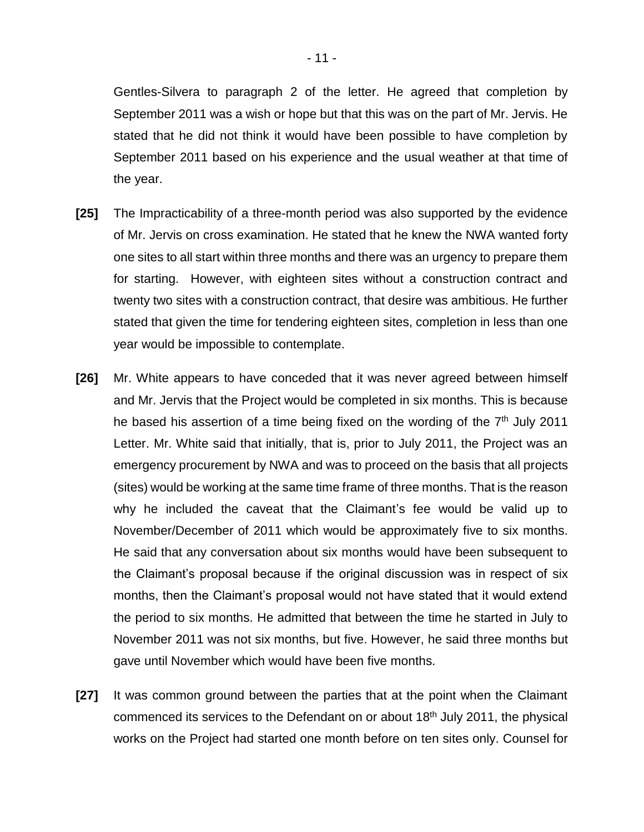Gentles-Silvera to paragraph 2 of the letter. He agreed that completion by September 2011 was a wish or hope but that this was on the part of Mr. Jervis. He stated that he did not think it would have been possible to have completion by September 2011 based on his experience and the usual weather at that time of the year.

- **[25]** The Impracticability of a three-month period was also supported by the evidence of Mr. Jervis on cross examination. He stated that he knew the NWA wanted forty one sites to all start within three months and there was an urgency to prepare them for starting. However, with eighteen sites without a construction contract and twenty two sites with a construction contract, that desire was ambitious. He further stated that given the time for tendering eighteen sites, completion in less than one year would be impossible to contemplate.
- **[26]** Mr. White appears to have conceded that it was never agreed between himself and Mr. Jervis that the Project would be completed in six months. This is because he based his assertion of a time being fixed on the wording of the  $7<sup>th</sup>$  July 2011 Letter. Mr. White said that initially, that is, prior to July 2011, the Project was an emergency procurement by NWA and was to proceed on the basis that all projects (sites) would be working at the same time frame of three months. That is the reason why he included the caveat that the Claimant's fee would be valid up to November/December of 2011 which would be approximately five to six months. He said that any conversation about six months would have been subsequent to the Claimant's proposal because if the original discussion was in respect of six months, then the Claimant's proposal would not have stated that it would extend the period to six months. He admitted that between the time he started in July to November 2011 was not six months, but five. However, he said three months but gave until November which would have been five months.
- **[27]** It was common ground between the parties that at the point when the Claimant commenced its services to the Defendant on or about 18<sup>th</sup> July 2011, the physical works on the Project had started one month before on ten sites only. Counsel for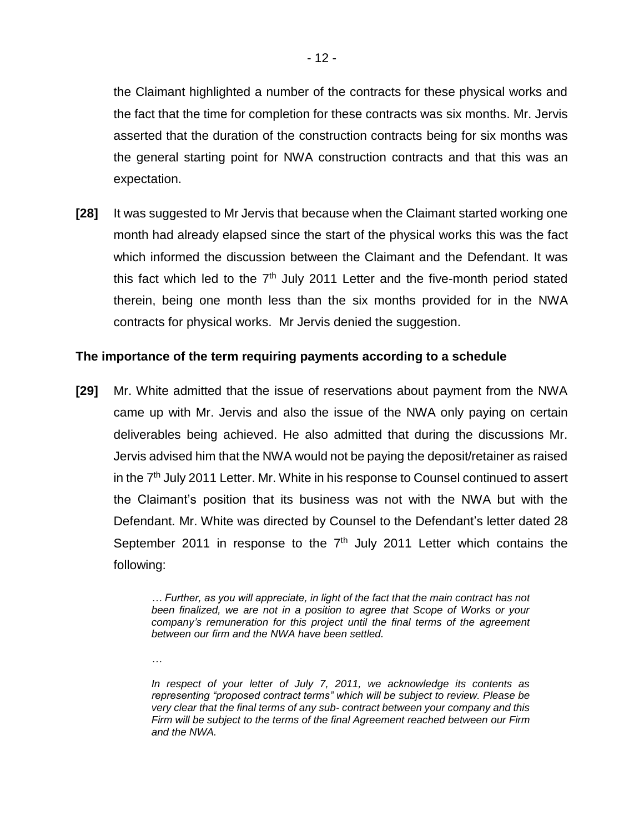the Claimant highlighted a number of the contracts for these physical works and the fact that the time for completion for these contracts was six months. Mr. Jervis asserted that the duration of the construction contracts being for six months was the general starting point for NWA construction contracts and that this was an expectation.

**[28]** It was suggested to Mr Jervis that because when the Claimant started working one month had already elapsed since the start of the physical works this was the fact which informed the discussion between the Claimant and the Defendant. It was this fact which led to the  $7<sup>th</sup>$  July 2011 Letter and the five-month period stated therein, being one month less than the six months provided for in the NWA contracts for physical works. Mr Jervis denied the suggestion.

### **The importance of the term requiring payments according to a schedule**

**[29]** Mr. White admitted that the issue of reservations about payment from the NWA came up with Mr. Jervis and also the issue of the NWA only paying on certain deliverables being achieved. He also admitted that during the discussions Mr. Jervis advised him that the NWA would not be paying the deposit/retainer as raised in the  $7<sup>th</sup>$  July 2011 Letter. Mr. White in his response to Counsel continued to assert the Claimant's position that its business was not with the NWA but with the Defendant. Mr. White was directed by Counsel to the Defendant's letter dated 28 September 2011 in response to the  $7<sup>th</sup>$  July 2011 Letter which contains the following:

> *… Further, as you will appreciate, in light of the fact that the main contract has not been finalized, we are not in a position to agree that Scope of Works or your company's remuneration for this project until the final terms of the agreement between our firm and the NWA have been settled.*

*…* 

*In respect of your letter of July 7, 2011, we acknowledge its contents as representing "proposed contract terms" which will be subject to review. Please be very clear that the final terms of any sub- contract between your company and this Firm will be subject to the terms of the final Agreement reached between our Firm and the NWA.*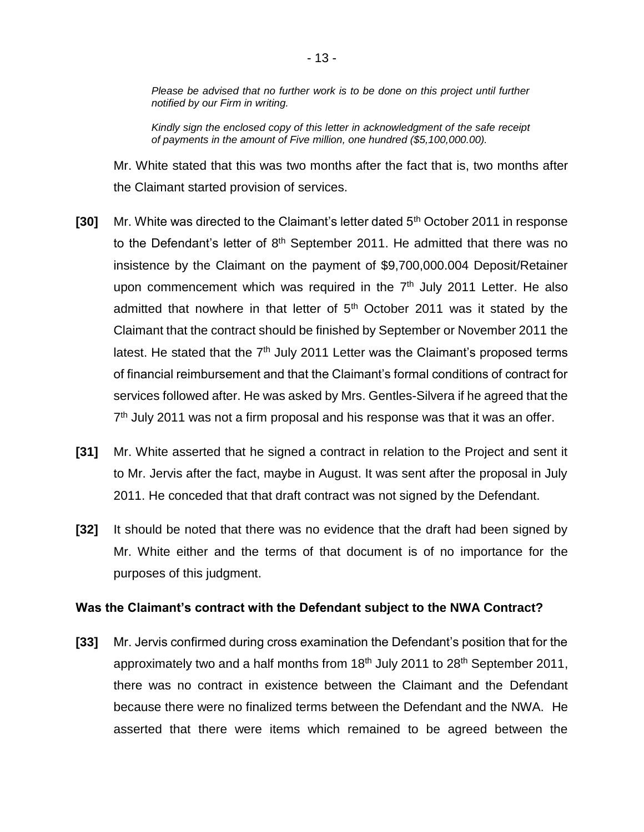*Please be advised that no further work is to be done on this project until further notified by our Firm in writing.*

*Kindly sign the enclosed copy of this letter in acknowledgment of the safe receipt of payments in the amount of Five million, one hundred (\$5,100,000.00).*

Mr. White stated that this was two months after the fact that is, two months after the Claimant started provision of services.

- **[30]** Mr. White was directed to the Claimant's letter dated 5<sup>th</sup> October 2011 in response to the Defendant's letter of  $8<sup>th</sup>$  September 2011. He admitted that there was no insistence by the Claimant on the payment of \$9,700,000.004 Deposit/Retainer upon commencement which was required in the  $7<sup>th</sup>$  July 2011 Letter. He also admitted that nowhere in that letter of  $5<sup>th</sup>$  October 2011 was it stated by the Claimant that the contract should be finished by September or November 2011 the latest. He stated that the  $7<sup>th</sup>$  July 2011 Letter was the Claimant's proposed terms of financial reimbursement and that the Claimant's formal conditions of contract for services followed after. He was asked by Mrs. Gentles-Silvera if he agreed that the 7<sup>th</sup> July 2011 was not a firm proposal and his response was that it was an offer.
- **[31]** Mr. White asserted that he signed a contract in relation to the Project and sent it to Mr. Jervis after the fact, maybe in August. It was sent after the proposal in July 2011. He conceded that that draft contract was not signed by the Defendant.
- **[32]** It should be noted that there was no evidence that the draft had been signed by Mr. White either and the terms of that document is of no importance for the purposes of this judgment.

#### **Was the Claimant's contract with the Defendant subject to the NWA Contract?**

**[33]** Mr. Jervis confirmed during cross examination the Defendant's position that for the approximately two and a half months from  $18<sup>th</sup>$  July 2011 to 28<sup>th</sup> September 2011, there was no contract in existence between the Claimant and the Defendant because there were no finalized terms between the Defendant and the NWA. He asserted that there were items which remained to be agreed between the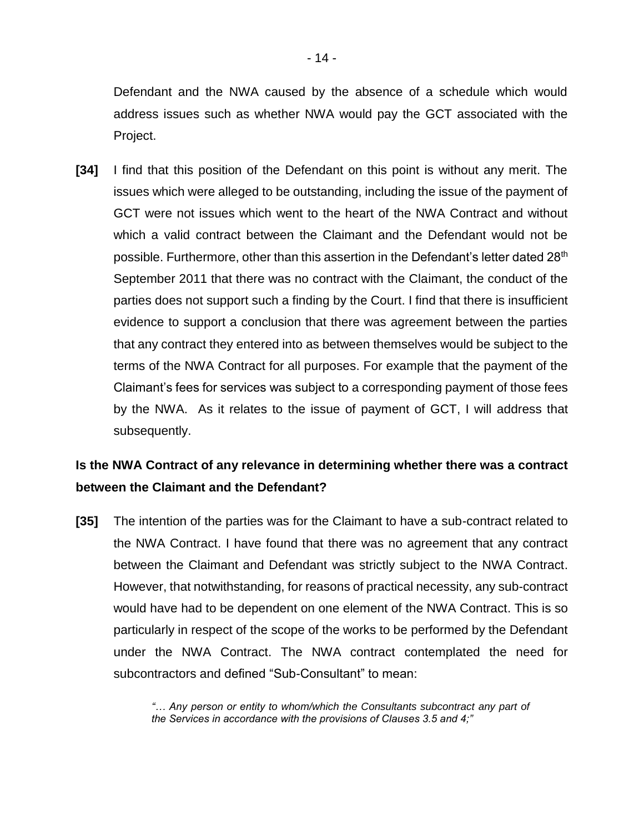Defendant and the NWA caused by the absence of a schedule which would address issues such as whether NWA would pay the GCT associated with the Project.

**[34]** I find that this position of the Defendant on this point is without any merit. The issues which were alleged to be outstanding, including the issue of the payment of GCT were not issues which went to the heart of the NWA Contract and without which a valid contract between the Claimant and the Defendant would not be possible. Furthermore, other than this assertion in the Defendant's letter dated 28<sup>th</sup> September 2011 that there was no contract with the Claimant, the conduct of the parties does not support such a finding by the Court. I find that there is insufficient evidence to support a conclusion that there was agreement between the parties that any contract they entered into as between themselves would be subject to the terms of the NWA Contract for all purposes. For example that the payment of the Claimant's fees for services was subject to a corresponding payment of those fees by the NWA. As it relates to the issue of payment of GCT, I will address that subsequently.

# **Is the NWA Contract of any relevance in determining whether there was a contract between the Claimant and the Defendant?**

**[35]** The intention of the parties was for the Claimant to have a sub-contract related to the NWA Contract. I have found that there was no agreement that any contract between the Claimant and Defendant was strictly subject to the NWA Contract. However, that notwithstanding, for reasons of practical necessity, any sub-contract would have had to be dependent on one element of the NWA Contract. This is so particularly in respect of the scope of the works to be performed by the Defendant under the NWA Contract. The NWA contract contemplated the need for subcontractors and defined "Sub-Consultant" to mean:

> *"… Any person or entity to whom/which the Consultants subcontract any part of the Services in accordance with the provisions of Clauses 3.5 and 4;"*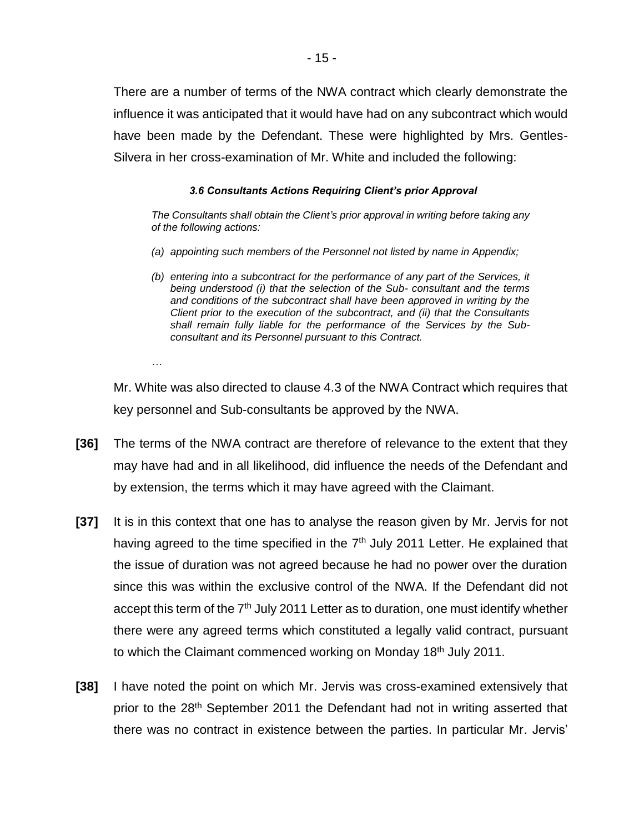There are a number of terms of the NWA contract which clearly demonstrate the influence it was anticipated that it would have had on any subcontract which would have been made by the Defendant. These were highlighted by Mrs. Gentles-Silvera in her cross-examination of Mr. White and included the following:

#### *3.6 Consultants Actions Requiring Client's prior Approval*

*The Consultants shall obtain the Client's prior approval in writing before taking any of the following actions:*

- *(a) appointing such members of the Personnel not listed by name in Appendix;*
- *(b) entering into a subcontract for the performance of any part of the Services, it being understood (i) that the selection of the Sub- consultant and the terms and conditions of the subcontract shall have been approved in writing by the Client prior to the execution of the subcontract, and (ii) that the Consultants shall remain fully liable for the performance of the Services by the Subconsultant and its Personnel pursuant to this Contract.*

*…*

Mr. White was also directed to clause 4.3 of the NWA Contract which requires that key personnel and Sub-consultants be approved by the NWA.

- **[36]** The terms of the NWA contract are therefore of relevance to the extent that they may have had and in all likelihood, did influence the needs of the Defendant and by extension, the terms which it may have agreed with the Claimant.
- **[37]** It is in this context that one has to analyse the reason given by Mr. Jervis for not having agreed to the time specified in the 7<sup>th</sup> July 2011 Letter. He explained that the issue of duration was not agreed because he had no power over the duration since this was within the exclusive control of the NWA. If the Defendant did not accept this term of the 7<sup>th</sup> July 2011 Letter as to duration, one must identify whether there were any agreed terms which constituted a legally valid contract, pursuant to which the Claimant commenced working on Monday 18<sup>th</sup> July 2011.
- **[38]** I have noted the point on which Mr. Jervis was cross-examined extensively that prior to the 28<sup>th</sup> September 2011 the Defendant had not in writing asserted that there was no contract in existence between the parties. In particular Mr. Jervis'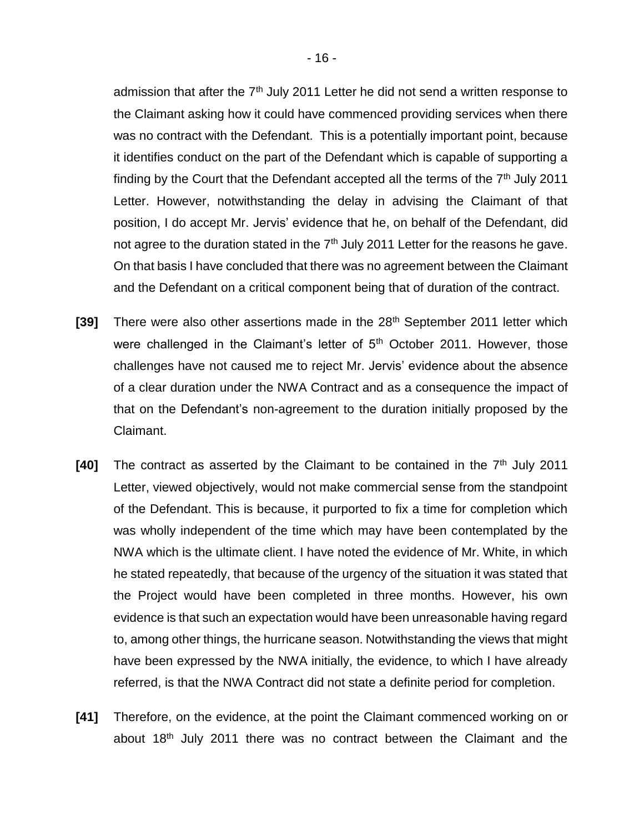admission that after the 7<sup>th</sup> July 2011 Letter he did not send a written response to the Claimant asking how it could have commenced providing services when there was no contract with the Defendant. This is a potentially important point, because it identifies conduct on the part of the Defendant which is capable of supporting a finding by the Court that the Defendant accepted all the terms of the  $7<sup>th</sup>$  July 2011 Letter. However, notwithstanding the delay in advising the Claimant of that position, I do accept Mr. Jervis' evidence that he, on behalf of the Defendant, did not agree to the duration stated in the 7<sup>th</sup> July 2011 Letter for the reasons he gave. On that basis I have concluded that there was no agreement between the Claimant and the Defendant on a critical component being that of duration of the contract.

- **[39]** There were also other assertions made in the 28<sup>th</sup> September 2011 letter which were challenged in the Claimant's letter of 5<sup>th</sup> October 2011. However, those challenges have not caused me to reject Mr. Jervis' evidence about the absence of a clear duration under the NWA Contract and as a consequence the impact of that on the Defendant's non-agreement to the duration initially proposed by the Claimant.
- **[40]** The contract as asserted by the Claimant to be contained in the 7<sup>th</sup> July 2011 Letter, viewed objectively, would not make commercial sense from the standpoint of the Defendant. This is because, it purported to fix a time for completion which was wholly independent of the time which may have been contemplated by the NWA which is the ultimate client. I have noted the evidence of Mr. White, in which he stated repeatedly, that because of the urgency of the situation it was stated that the Project would have been completed in three months. However, his own evidence is that such an expectation would have been unreasonable having regard to, among other things, the hurricane season. Notwithstanding the views that might have been expressed by the NWA initially, the evidence, to which I have already referred, is that the NWA Contract did not state a definite period for completion.
- **[41]** Therefore, on the evidence, at the point the Claimant commenced working on or about 18<sup>th</sup> July 2011 there was no contract between the Claimant and the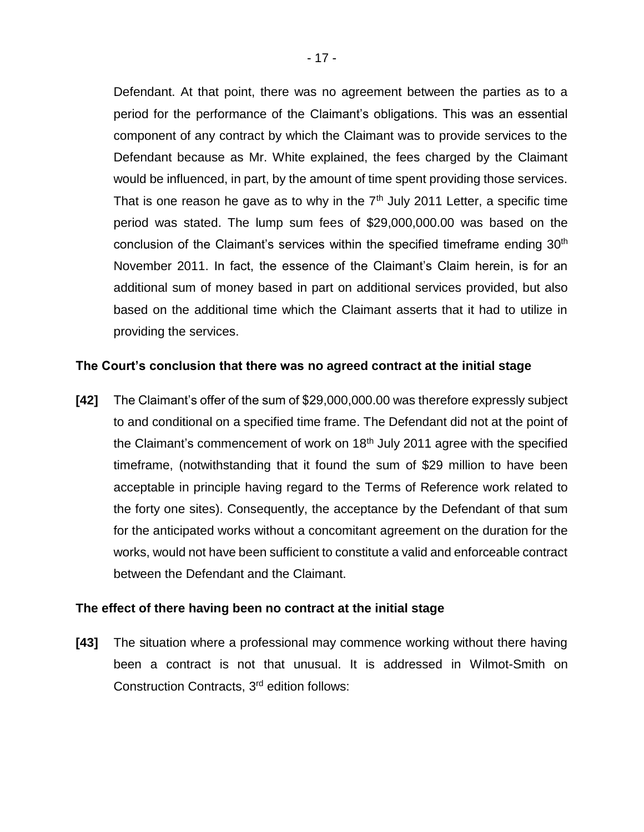Defendant. At that point, there was no agreement between the parties as to a period for the performance of the Claimant's obligations. This was an essential component of any contract by which the Claimant was to provide services to the Defendant because as Mr. White explained, the fees charged by the Claimant would be influenced, in part, by the amount of time spent providing those services. That is one reason he gave as to why in the  $7<sup>th</sup>$  July 2011 Letter, a specific time period was stated. The lump sum fees of \$29,000,000.00 was based on the conclusion of the Claimant's services within the specified timeframe ending 30<sup>th</sup> November 2011. In fact, the essence of the Claimant's Claim herein, is for an additional sum of money based in part on additional services provided, but also based on the additional time which the Claimant asserts that it had to utilize in providing the services.

### **The Court's conclusion that there was no agreed contract at the initial stage**

**[42]** The Claimant's offer of the sum of \$29,000,000.00 was therefore expressly subject to and conditional on a specified time frame. The Defendant did not at the point of the Claimant's commencement of work on 18<sup>th</sup> July 2011 agree with the specified timeframe, (notwithstanding that it found the sum of \$29 million to have been acceptable in principle having regard to the Terms of Reference work related to the forty one sites). Consequently, the acceptance by the Defendant of that sum for the anticipated works without a concomitant agreement on the duration for the works, would not have been sufficient to constitute a valid and enforceable contract between the Defendant and the Claimant.

#### **The effect of there having been no contract at the initial stage**

**[43]** The situation where a professional may commence working without there having been a contract is not that unusual. It is addressed in Wilmot-Smith on Construction Contracts, 3<sup>rd</sup> edition follows: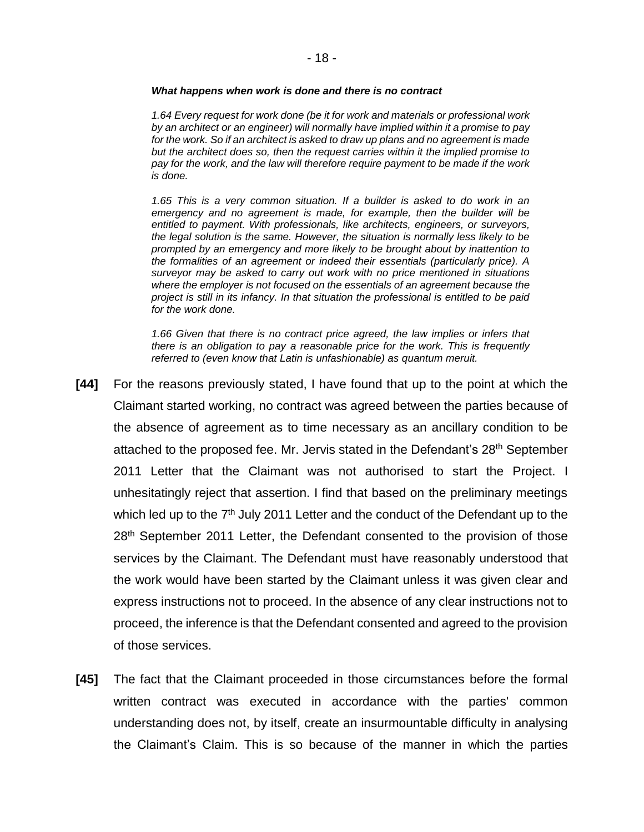#### *What happens when work is done and there is no contract*

*1.64 Every request for work done (be it for work and materials or professional work by an architect or an engineer) will normally have implied within it a promise to pay for the work. So if an architect is asked to draw up plans and no agreement is made but the architect does so, then the request carries within it the implied promise to pay for the work, and the law will therefore require payment to be made if the work is done.*

*1.65 This is a very common situation. If a builder is asked to do work in an emergency and no agreement is made, for example, then the builder will be entitled to payment. With professionals, like architects, engineers, or surveyors, the legal solution is the same. However, the situation is normally less likely to be prompted by an emergency and more likely to be brought about by inattention to the formalities of an agreement or indeed their essentials (particularly price). A surveyor may be asked to carry out work with no price mentioned in situations where the employer is not focused on the essentials of an agreement because the project is still in its infancy. In that situation the professional is entitled to be paid for the work done.* 

*1.66 Given that there is no contract price agreed, the law implies or infers that there is an obligation to pay a reasonable price for the work. This is frequently referred to (even know that Latin is unfashionable) as quantum meruit.*

- **[44]** For the reasons previously stated, I have found that up to the point at which the Claimant started working, no contract was agreed between the parties because of the absence of agreement as to time necessary as an ancillary condition to be attached to the proposed fee. Mr. Jervis stated in the Defendant's 28<sup>th</sup> September 2011 Letter that the Claimant was not authorised to start the Project. I unhesitatingly reject that assertion. I find that based on the preliminary meetings which led up to the 7<sup>th</sup> July 2011 Letter and the conduct of the Defendant up to the 28<sup>th</sup> September 2011 Letter, the Defendant consented to the provision of those services by the Claimant. The Defendant must have reasonably understood that the work would have been started by the Claimant unless it was given clear and express instructions not to proceed. In the absence of any clear instructions not to proceed, the inference is that the Defendant consented and agreed to the provision of those services.
- **[45]** The fact that the Claimant proceeded in those circumstances before the formal written contract was executed in accordance with the parties' common understanding does not, by itself, create an insurmountable difficulty in analysing the Claimant's Claim. This is so because of the manner in which the parties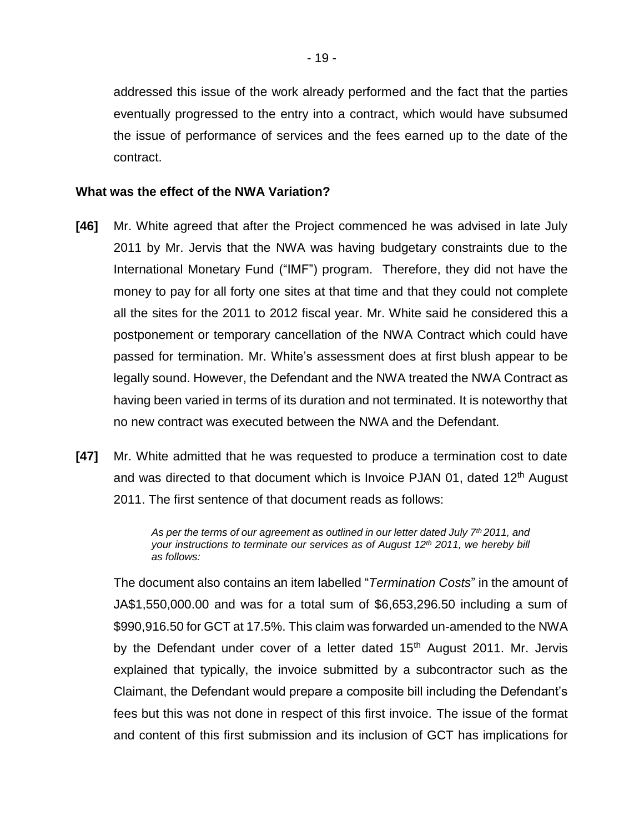addressed this issue of the work already performed and the fact that the parties eventually progressed to the entry into a contract, which would have subsumed the issue of performance of services and the fees earned up to the date of the contract.

#### **What was the effect of the NWA Variation?**

- **[46]** Mr. White agreed that after the Project commenced he was advised in late July 2011 by Mr. Jervis that the NWA was having budgetary constraints due to the International Monetary Fund ("IMF") program. Therefore, they did not have the money to pay for all forty one sites at that time and that they could not complete all the sites for the 2011 to 2012 fiscal year. Mr. White said he considered this a postponement or temporary cancellation of the NWA Contract which could have passed for termination. Mr. White's assessment does at first blush appear to be legally sound. However, the Defendant and the NWA treated the NWA Contract as having been varied in terms of its duration and not terminated. It is noteworthy that no new contract was executed between the NWA and the Defendant.
- **[47]** Mr. White admitted that he was requested to produce a termination cost to date and was directed to that document which is Invoice PJAN 01, dated 12<sup>th</sup> August 2011. The first sentence of that document reads as follows:

*As per the terms of our agreement as outlined in our letter dated July 7th 2011, and your instructions to terminate our services as of August 12th 2011, we hereby bill as follows:*

The document also contains an item labelled "*Termination Costs*" in the amount of JA\$1,550,000.00 and was for a total sum of \$6,653,296.50 including a sum of \$990,916.50 for GCT at 17.5%. This claim was forwarded un-amended to the NWA by the Defendant under cover of a letter dated  $15<sup>th</sup>$  August 2011. Mr. Jervis explained that typically, the invoice submitted by a subcontractor such as the Claimant, the Defendant would prepare a composite bill including the Defendant's fees but this was not done in respect of this first invoice. The issue of the format and content of this first submission and its inclusion of GCT has implications for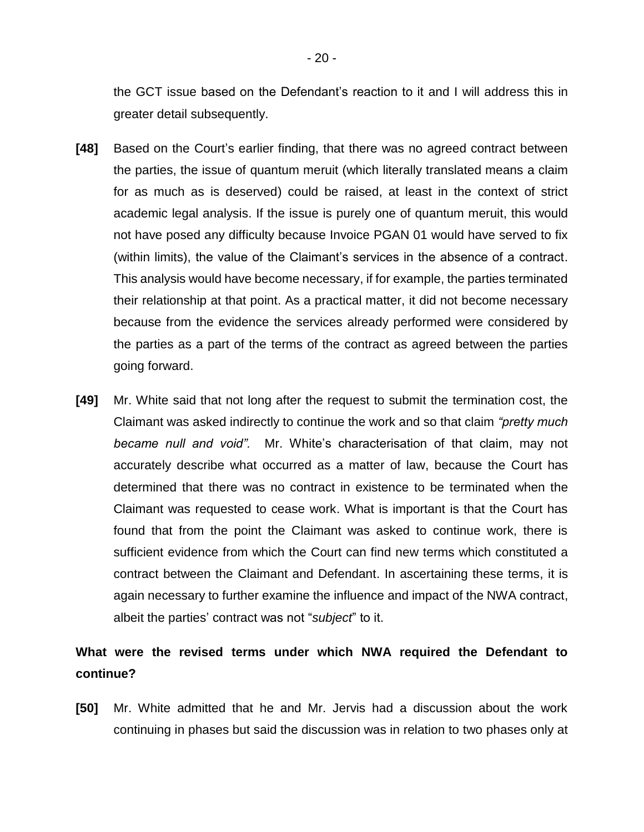the GCT issue based on the Defendant's reaction to it and I will address this in greater detail subsequently.

- **[48]** Based on the Court's earlier finding, that there was no agreed contract between the parties, the issue of quantum meruit (which literally translated means a claim for as much as is deserved) could be raised, at least in the context of strict academic legal analysis. If the issue is purely one of quantum meruit, this would not have posed any difficulty because Invoice PGAN 01 would have served to fix (within limits), the value of the Claimant's services in the absence of a contract. This analysis would have become necessary, if for example, the parties terminated their relationship at that point. As a practical matter, it did not become necessary because from the evidence the services already performed were considered by the parties as a part of the terms of the contract as agreed between the parties going forward.
- **[49]** Mr. White said that not long after the request to submit the termination cost, the Claimant was asked indirectly to continue the work and so that claim *"pretty much became null and void".* Mr. White's characterisation of that claim, may not accurately describe what occurred as a matter of law, because the Court has determined that there was no contract in existence to be terminated when the Claimant was requested to cease work. What is important is that the Court has found that from the point the Claimant was asked to continue work, there is sufficient evidence from which the Court can find new terms which constituted a contract between the Claimant and Defendant. In ascertaining these terms, it is again necessary to further examine the influence and impact of the NWA contract, albeit the parties' contract was not "*subject*" to it.

# **What were the revised terms under which NWA required the Defendant to continue?**

**[50]** Mr. White admitted that he and Mr. Jervis had a discussion about the work continuing in phases but said the discussion was in relation to two phases only at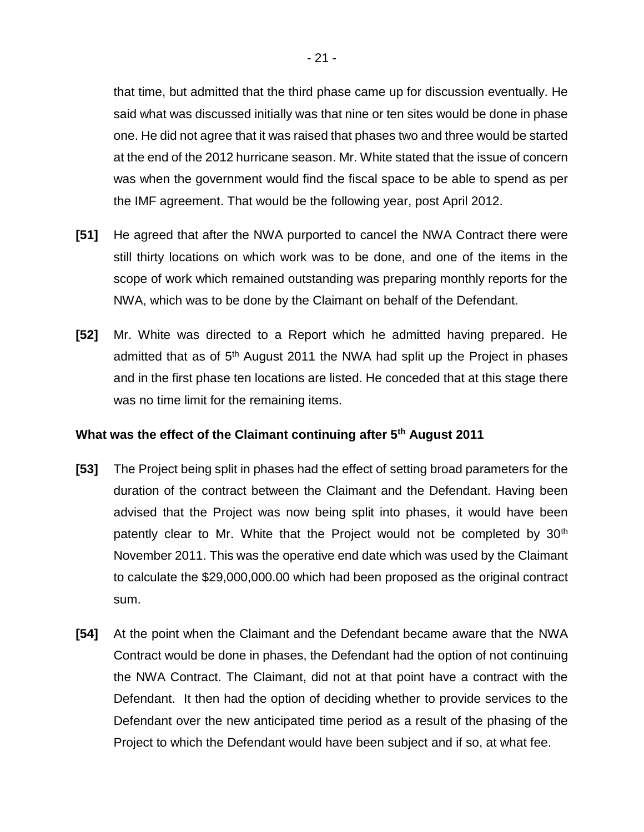that time, but admitted that the third phase came up for discussion eventually. He said what was discussed initially was that nine or ten sites would be done in phase one. He did not agree that it was raised that phases two and three would be started at the end of the 2012 hurricane season. Mr. White stated that the issue of concern was when the government would find the fiscal space to be able to spend as per the IMF agreement. That would be the following year, post April 2012.

- **[51]** He agreed that after the NWA purported to cancel the NWA Contract there were still thirty locations on which work was to be done, and one of the items in the scope of work which remained outstanding was preparing monthly reports for the NWA, which was to be done by the Claimant on behalf of the Defendant.
- **[52]** Mr. White was directed to a Report which he admitted having prepared. He admitted that as of 5<sup>th</sup> August 2011 the NWA had split up the Project in phases and in the first phase ten locations are listed. He conceded that at this stage there was no time limit for the remaining items.

### **What was the effect of the Claimant continuing after 5th August 2011**

- **[53]** The Project being split in phases had the effect of setting broad parameters for the duration of the contract between the Claimant and the Defendant. Having been advised that the Project was now being split into phases, it would have been patently clear to Mr. White that the Project would not be completed by 30<sup>th</sup> November 2011. This was the operative end date which was used by the Claimant to calculate the \$29,000,000.00 which had been proposed as the original contract sum.
- **[54]** At the point when the Claimant and the Defendant became aware that the NWA Contract would be done in phases, the Defendant had the option of not continuing the NWA Contract. The Claimant, did not at that point have a contract with the Defendant. It then had the option of deciding whether to provide services to the Defendant over the new anticipated time period as a result of the phasing of the Project to which the Defendant would have been subject and if so, at what fee.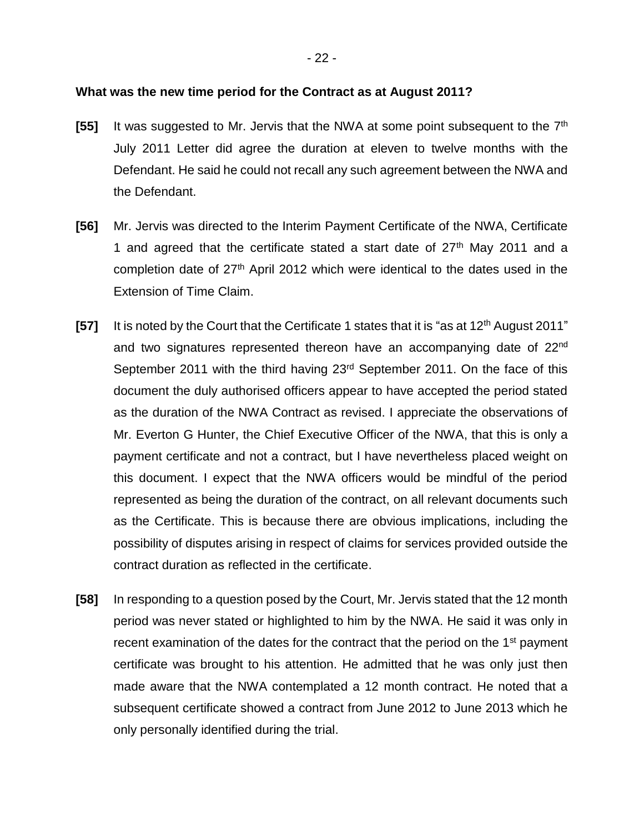#### **What was the new time period for the Contract as at August 2011?**

- [55] It was suggested to Mr. Jervis that the NWA at some point subsequent to the 7<sup>th</sup> July 2011 Letter did agree the duration at eleven to twelve months with the Defendant. He said he could not recall any such agreement between the NWA and the Defendant.
- **[56]** Mr. Jervis was directed to the Interim Payment Certificate of the NWA, Certificate 1 and agreed that the certificate stated a start date of  $27<sup>th</sup>$  May 2011 and a completion date of  $27<sup>th</sup>$  April 2012 which were identical to the dates used in the Extension of Time Claim.
- **[57]** It is noted by the Court that the Certificate 1 states that it is "as at 12<sup>th</sup> August 2011" and two signatures represented thereon have an accompanying date of 22<sup>nd</sup> September 2011 with the third having 23<sup>rd</sup> September 2011. On the face of this document the duly authorised officers appear to have accepted the period stated as the duration of the NWA Contract as revised. I appreciate the observations of Mr. Everton G Hunter, the Chief Executive Officer of the NWA, that this is only a payment certificate and not a contract, but I have nevertheless placed weight on this document. I expect that the NWA officers would be mindful of the period represented as being the duration of the contract, on all relevant documents such as the Certificate. This is because there are obvious implications, including the possibility of disputes arising in respect of claims for services provided outside the contract duration as reflected in the certificate.
- **[58]** In responding to a question posed by the Court, Mr. Jervis stated that the 12 month period was never stated or highlighted to him by the NWA. He said it was only in recent examination of the dates for the contract that the period on the  $1<sup>st</sup>$  payment certificate was brought to his attention. He admitted that he was only just then made aware that the NWA contemplated a 12 month contract. He noted that a subsequent certificate showed a contract from June 2012 to June 2013 which he only personally identified during the trial.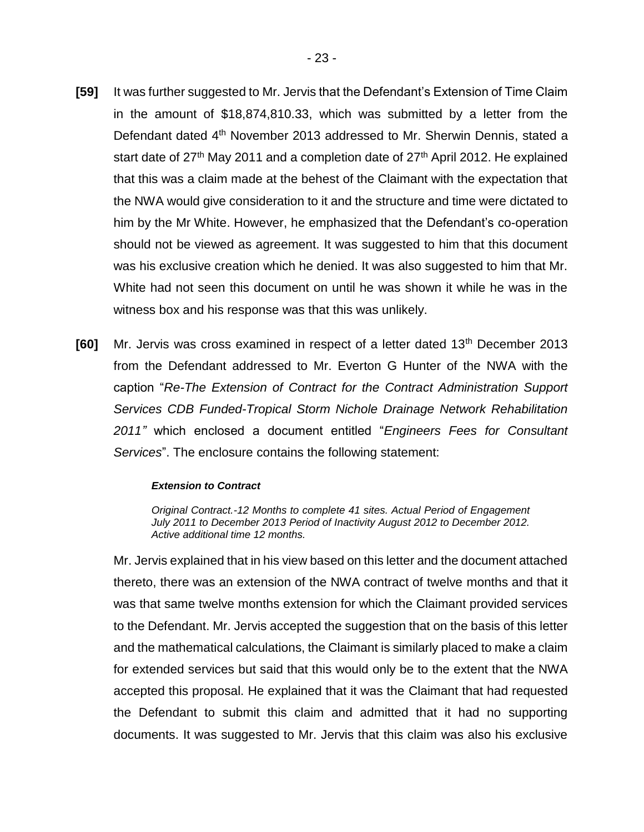- **[59]** It was further suggested to Mr. Jervis that the Defendant's Extension of Time Claim in the amount of \$18,874,810.33, which was submitted by a letter from the Defendant dated 4<sup>th</sup> November 2013 addressed to Mr. Sherwin Dennis, stated a start date of  $27<sup>th</sup>$  May 2011 and a completion date of  $27<sup>th</sup>$  April 2012. He explained that this was a claim made at the behest of the Claimant with the expectation that the NWA would give consideration to it and the structure and time were dictated to him by the Mr White. However, he emphasized that the Defendant's co-operation should not be viewed as agreement. It was suggested to him that this document was his exclusive creation which he denied. It was also suggested to him that Mr. White had not seen this document on until he was shown it while he was in the witness box and his response was that this was unlikely.
- **[60]** Mr. Jervis was cross examined in respect of a letter dated 13<sup>th</sup> December 2013 from the Defendant addressed to Mr. Everton G Hunter of the NWA with the caption "*Re-The Extension of Contract for the Contract Administration Support Services CDB Funded-Tropical Storm Nichole Drainage Network Rehabilitation 2011"* which enclosed a document entitled "*Engineers Fees for Consultant Services*". The enclosure contains the following statement:

#### *Extension to Contract*

*Original Contract.-12 Months to complete 41 sites. Actual Period of Engagement July 2011 to December 2013 Period of Inactivity August 2012 to December 2012. Active additional time 12 months.*

Mr. Jervis explained that in his view based on this letter and the document attached thereto, there was an extension of the NWA contract of twelve months and that it was that same twelve months extension for which the Claimant provided services to the Defendant. Mr. Jervis accepted the suggestion that on the basis of this letter and the mathematical calculations, the Claimant is similarly placed to make a claim for extended services but said that this would only be to the extent that the NWA accepted this proposal. He explained that it was the Claimant that had requested the Defendant to submit this claim and admitted that it had no supporting documents. It was suggested to Mr. Jervis that this claim was also his exclusive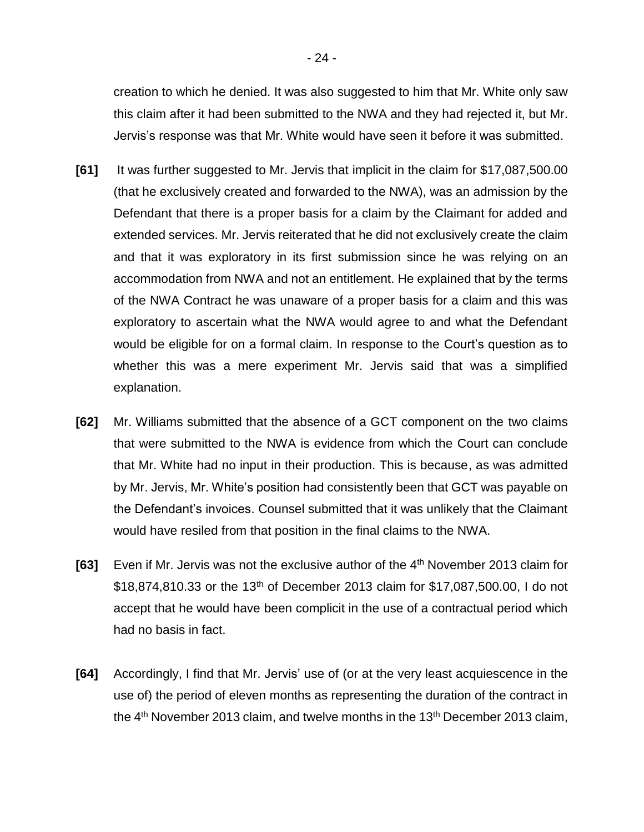creation to which he denied. It was also suggested to him that Mr. White only saw this claim after it had been submitted to the NWA and they had rejected it, but Mr. Jervis's response was that Mr. White would have seen it before it was submitted.

- **[61]** It was further suggested to Mr. Jervis that implicit in the claim for \$17,087,500.00 (that he exclusively created and forwarded to the NWA), was an admission by the Defendant that there is a proper basis for a claim by the Claimant for added and extended services. Mr. Jervis reiterated that he did not exclusively create the claim and that it was exploratory in its first submission since he was relying on an accommodation from NWA and not an entitlement. He explained that by the terms of the NWA Contract he was unaware of a proper basis for a claim and this was exploratory to ascertain what the NWA would agree to and what the Defendant would be eligible for on a formal claim. In response to the Court's question as to whether this was a mere experiment Mr. Jervis said that was a simplified explanation.
- **[62]** Mr. Williams submitted that the absence of a GCT component on the two claims that were submitted to the NWA is evidence from which the Court can conclude that Mr. White had no input in their production. This is because, as was admitted by Mr. Jervis, Mr. White's position had consistently been that GCT was payable on the Defendant's invoices. Counsel submitted that it was unlikely that the Claimant would have resiled from that position in the final claims to the NWA.
- [63] Even if Mr. Jervis was not the exclusive author of the 4<sup>th</sup> November 2013 claim for  $$18,874,810.33$  or the 13<sup>th</sup> of December 2013 claim for  $$17,087,500.00$ , I do not accept that he would have been complicit in the use of a contractual period which had no basis in fact.
- **[64]** Accordingly, I find that Mr. Jervis' use of (or at the very least acquiescence in the use of) the period of eleven months as representing the duration of the contract in the  $4<sup>th</sup>$  November 2013 claim, and twelve months in the 13<sup>th</sup> December 2013 claim,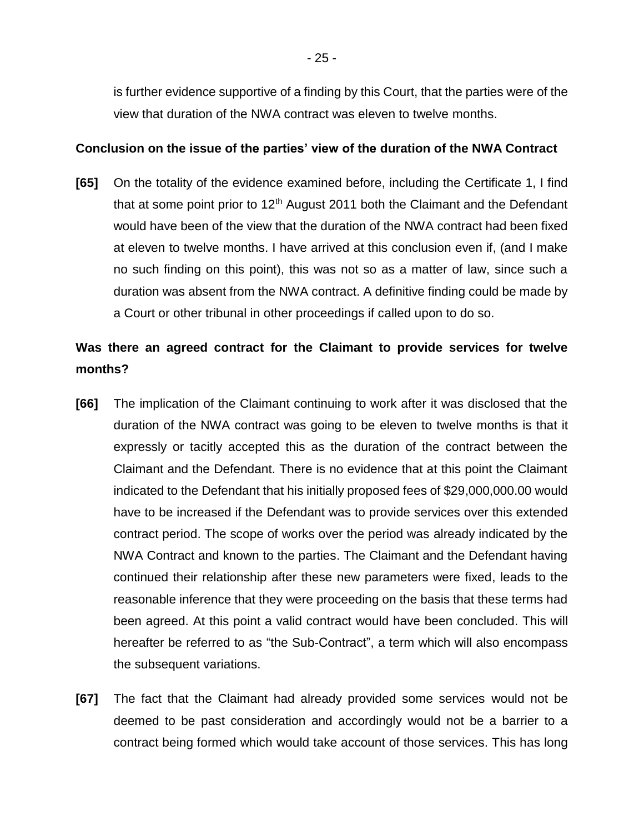is further evidence supportive of a finding by this Court, that the parties were of the view that duration of the NWA contract was eleven to twelve months.

### **Conclusion on the issue of the parties' view of the duration of the NWA Contract**

**[65]** On the totality of the evidence examined before, including the Certificate 1, I find that at some point prior to  $12<sup>th</sup>$  August 2011 both the Claimant and the Defendant would have been of the view that the duration of the NWA contract had been fixed at eleven to twelve months. I have arrived at this conclusion even if, (and I make no such finding on this point), this was not so as a matter of law, since such a duration was absent from the NWA contract. A definitive finding could be made by a Court or other tribunal in other proceedings if called upon to do so.

# **Was there an agreed contract for the Claimant to provide services for twelve months?**

- **[66]** The implication of the Claimant continuing to work after it was disclosed that the duration of the NWA contract was going to be eleven to twelve months is that it expressly or tacitly accepted this as the duration of the contract between the Claimant and the Defendant. There is no evidence that at this point the Claimant indicated to the Defendant that his initially proposed fees of \$29,000,000.00 would have to be increased if the Defendant was to provide services over this extended contract period. The scope of works over the period was already indicated by the NWA Contract and known to the parties. The Claimant and the Defendant having continued their relationship after these new parameters were fixed, leads to the reasonable inference that they were proceeding on the basis that these terms had been agreed. At this point a valid contract would have been concluded. This will hereafter be referred to as "the Sub-Contract", a term which will also encompass the subsequent variations.
- **[67]** The fact that the Claimant had already provided some services would not be deemed to be past consideration and accordingly would not be a barrier to a contract being formed which would take account of those services. This has long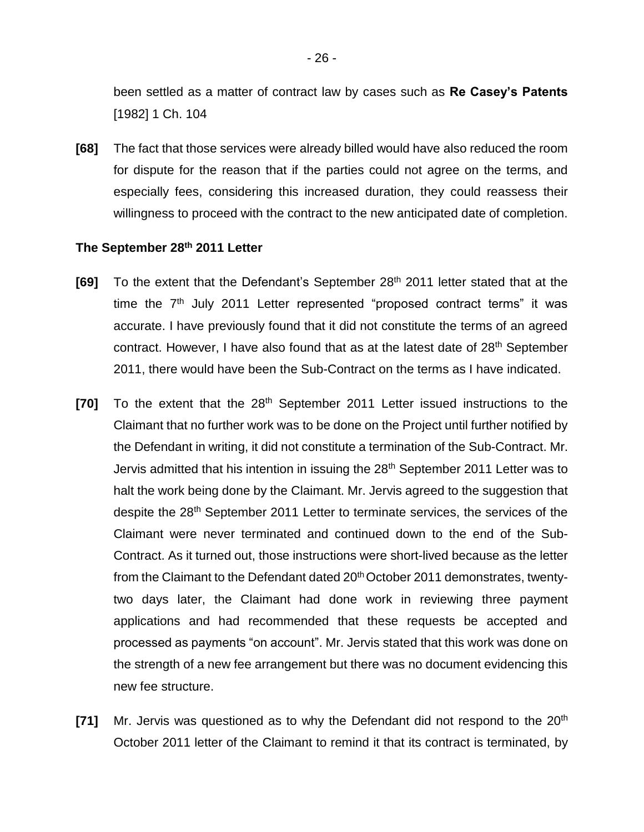been settled as a matter of contract law by cases such as **Re Casey's Patents** [1982] 1 Ch. 104

**[68]** The fact that those services were already billed would have also reduced the room for dispute for the reason that if the parties could not agree on the terms, and especially fees, considering this increased duration, they could reassess their willingness to proceed with the contract to the new anticipated date of completion.

#### **The September 28th 2011 Letter**

- **[69]** To the extent that the Defendant's September 28th 2011 letter stated that at the time the  $7<sup>th</sup>$  July 2011 Letter represented "proposed contract terms" it was accurate. I have previously found that it did not constitute the terms of an agreed contract. However, I have also found that as at the latest date of 28<sup>th</sup> September 2011, there would have been the Sub-Contract on the terms as I have indicated.
- **[70]** To the extent that the 28<sup>th</sup> September 2011 Letter issued instructions to the Claimant that no further work was to be done on the Project until further notified by the Defendant in writing, it did not constitute a termination of the Sub-Contract. Mr. Jervis admitted that his intention in issuing the 28<sup>th</sup> September 2011 Letter was to halt the work being done by the Claimant. Mr. Jervis agreed to the suggestion that despite the 28<sup>th</sup> September 2011 Letter to terminate services, the services of the Claimant were never terminated and continued down to the end of the Sub-Contract. As it turned out, those instructions were short-lived because as the letter from the Claimant to the Defendant dated 20<sup>th</sup> October 2011 demonstrates, twentytwo days later, the Claimant had done work in reviewing three payment applications and had recommended that these requests be accepted and processed as payments "on account". Mr. Jervis stated that this work was done on the strength of a new fee arrangement but there was no document evidencing this new fee structure.
- **[71]** Mr. Jervis was questioned as to why the Defendant did not respond to the 20<sup>th</sup> October 2011 letter of the Claimant to remind it that its contract is terminated, by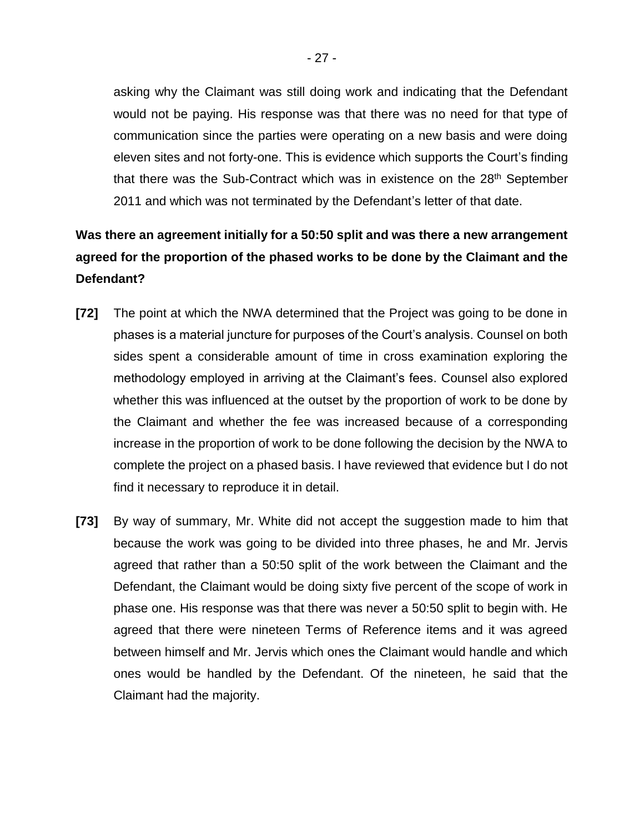asking why the Claimant was still doing work and indicating that the Defendant would not be paying. His response was that there was no need for that type of communication since the parties were operating on a new basis and were doing eleven sites and not forty-one. This is evidence which supports the Court's finding that there was the Sub-Contract which was in existence on the 28<sup>th</sup> September 2011 and which was not terminated by the Defendant's letter of that date.

# **Was there an agreement initially for a 50:50 split and was there a new arrangement agreed for the proportion of the phased works to be done by the Claimant and the Defendant?**

- **[72]** The point at which the NWA determined that the Project was going to be done in phases is a material juncture for purposes of the Court's analysis. Counsel on both sides spent a considerable amount of time in cross examination exploring the methodology employed in arriving at the Claimant's fees. Counsel also explored whether this was influenced at the outset by the proportion of work to be done by the Claimant and whether the fee was increased because of a corresponding increase in the proportion of work to be done following the decision by the NWA to complete the project on a phased basis. I have reviewed that evidence but I do not find it necessary to reproduce it in detail.
- **[73]** By way of summary, Mr. White did not accept the suggestion made to him that because the work was going to be divided into three phases, he and Mr. Jervis agreed that rather than a 50:50 split of the work between the Claimant and the Defendant, the Claimant would be doing sixty five percent of the scope of work in phase one. His response was that there was never a 50:50 split to begin with. He agreed that there were nineteen Terms of Reference items and it was agreed between himself and Mr. Jervis which ones the Claimant would handle and which ones would be handled by the Defendant. Of the nineteen, he said that the Claimant had the majority.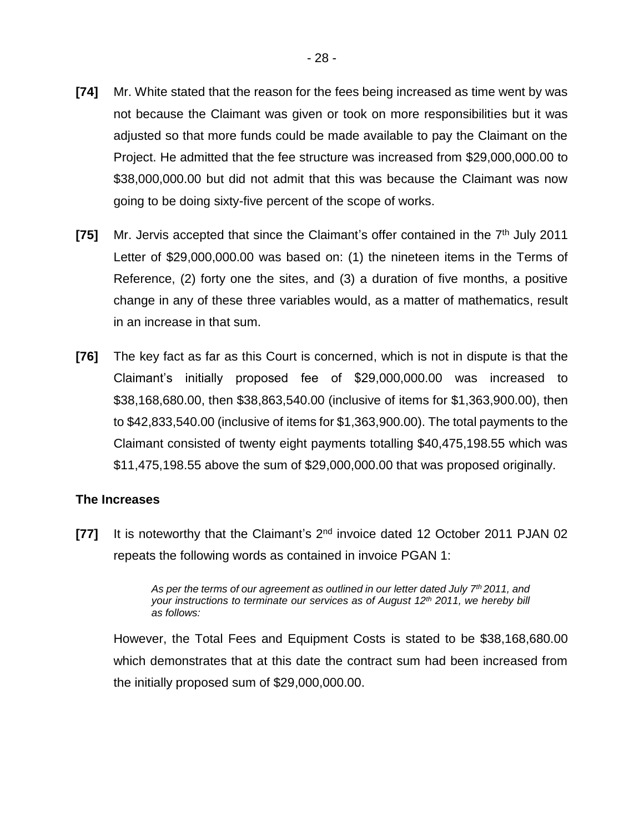- **[74]** Mr. White stated that the reason for the fees being increased as time went by was not because the Claimant was given or took on more responsibilities but it was adjusted so that more funds could be made available to pay the Claimant on the Project. He admitted that the fee structure was increased from \$29,000,000.00 to \$38,000,000.00 but did not admit that this was because the Claimant was now going to be doing sixty-five percent of the scope of works.
- [75] Mr. Jervis accepted that since the Claimant's offer contained in the 7<sup>th</sup> July 2011 Letter of \$29,000,000.00 was based on: (1) the nineteen items in the Terms of Reference, (2) forty one the sites, and (3) a duration of five months, a positive change in any of these three variables would, as a matter of mathematics, result in an increase in that sum.
- **[76]** The key fact as far as this Court is concerned, which is not in dispute is that the Claimant's initially proposed fee of \$29,000,000.00 was increased to \$38,168,680.00, then \$38,863,540.00 (inclusive of items for \$1,363,900.00), then to \$42,833,540.00 (inclusive of items for \$1,363,900.00). The total payments to the Claimant consisted of twenty eight payments totalling \$40,475,198.55 which was \$11,475,198.55 above the sum of \$29,000,000.00 that was proposed originally.

#### **The Increases**

**[77]** It is noteworthy that the Claimant's 2nd invoice dated 12 October 2011 PJAN 02 repeats the following words as contained in invoice PGAN 1:

> *As per the terms of our agreement as outlined in our letter dated July 7th 2011, and your instructions to terminate our services as of August 12th 2011, we hereby bill as follows:*

However, the Total Fees and Equipment Costs is stated to be \$38,168,680.00 which demonstrates that at this date the contract sum had been increased from the initially proposed sum of \$29,000,000.00.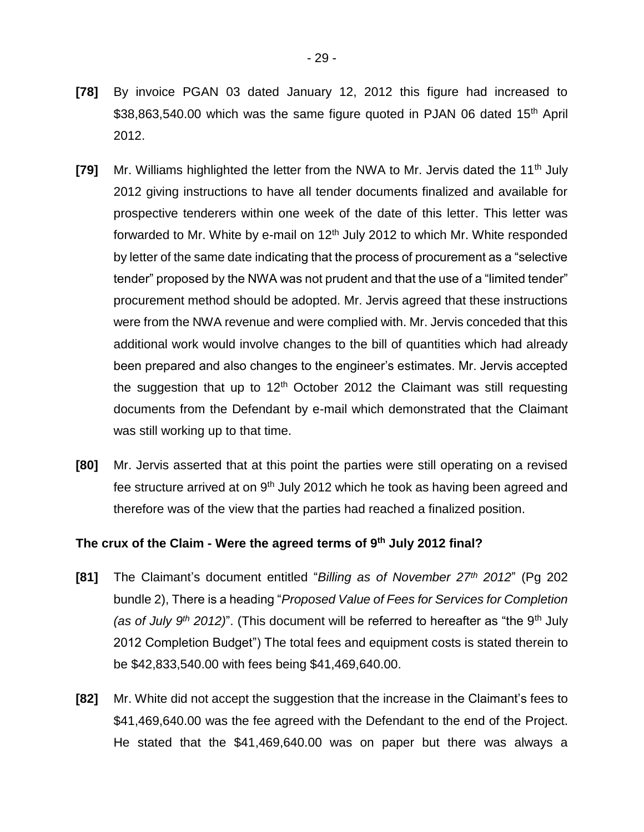- **[78]** By invoice PGAN 03 dated January 12, 2012 this figure had increased to \$38,863,540.00 which was the same figure quoted in PJAN 06 dated 15<sup>th</sup> April 2012.
- **[79]** Mr. Williams highlighted the letter from the NWA to Mr. Jervis dated the 11<sup>th</sup> July 2012 giving instructions to have all tender documents finalized and available for prospective tenderers within one week of the date of this letter. This letter was forwarded to Mr. White by e-mail on  $12<sup>th</sup>$  July 2012 to which Mr. White responded by letter of the same date indicating that the process of procurement as a "selective tender" proposed by the NWA was not prudent and that the use of a "limited tender" procurement method should be adopted. Mr. Jervis agreed that these instructions were from the NWA revenue and were complied with. Mr. Jervis conceded that this additional work would involve changes to the bill of quantities which had already been prepared and also changes to the engineer's estimates. Mr. Jervis accepted the suggestion that up to  $12<sup>th</sup>$  October 2012 the Claimant was still requesting documents from the Defendant by e-mail which demonstrated that the Claimant was still working up to that time.
- **[80]** Mr. Jervis asserted that at this point the parties were still operating on a revised fee structure arrived at on  $9<sup>th</sup>$  July 2012 which he took as having been agreed and therefore was of the view that the parties had reached a finalized position.

#### **The crux of the Claim - Were the agreed terms of 9 th July 2012 final?**

- **[81]** The Claimant's document entitled "*Billing as of November 27th 2012*" (Pg 202 bundle 2), There is a heading "*Proposed Value of Fees for Services for Completion (as of July 9th 2012)*". (This document will be referred to hereafter as "the 9th July 2012 Completion Budget") The total fees and equipment costs is stated therein to be \$42,833,540.00 with fees being \$41,469,640.00.
- **[82]** Mr. White did not accept the suggestion that the increase in the Claimant's fees to \$41,469,640.00 was the fee agreed with the Defendant to the end of the Project. He stated that the \$41,469,640.00 was on paper but there was always a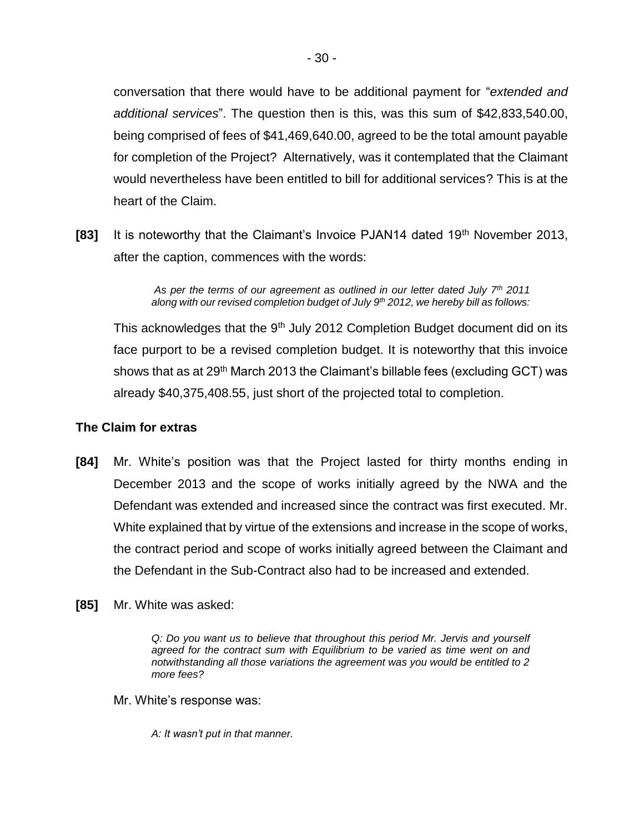conversation that there would have to be additional payment for "*extended and additional services*". The question then is this, was this sum of \$42,833,540.00, being comprised of fees of \$41,469,640.00, agreed to be the total amount payable for completion of the Project? Alternatively, was it contemplated that the Claimant would nevertheless have been entitled to bill for additional services? This is at the heart of the Claim.

**[83]** It is noteworthy that the Claimant's Invoice PJAN14 dated 19<sup>th</sup> November 2013, after the caption, commences with the words:

> *As per the terms of our agreement as outlined in our letter dated July 7th 2011 along with our revised completion budget of July 9th 2012, we hereby bill as follows:*

This acknowledges that the  $9<sup>th</sup>$  July 2012 Completion Budget document did on its face purport to be a revised completion budget. It is noteworthy that this invoice shows that as at 29<sup>th</sup> March 2013 the Claimant's billable fees (excluding GCT) was already \$40,375,408.55, just short of the projected total to completion.

#### **The Claim for extras**

- **[84]** Mr. White's position was that the Project lasted for thirty months ending in December 2013 and the scope of works initially agreed by the NWA and the Defendant was extended and increased since the contract was first executed. Mr. White explained that by virtue of the extensions and increase in the scope of works, the contract period and scope of works initially agreed between the Claimant and the Defendant in the Sub-Contract also had to be increased and extended.
- **[85]** Mr. White was asked:

*Q: Do you want us to believe that throughout this period Mr. Jervis and yourself agreed for the contract sum with Equilibrium to be varied as time went on and notwithstanding all those variations the agreement was you would be entitled to 2 more fees?*

Mr. White's response was:

*A: It wasn't put in that manner.*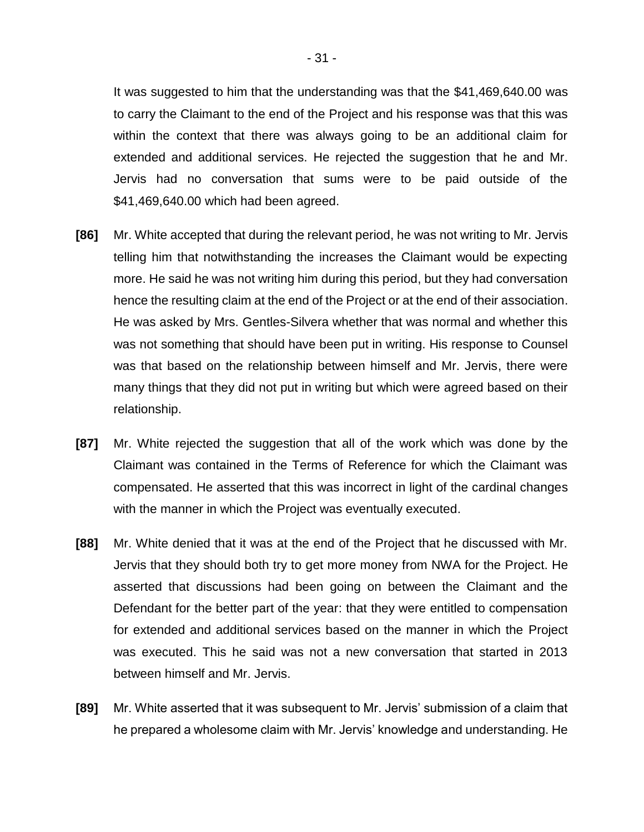It was suggested to him that the understanding was that the \$41,469,640.00 was to carry the Claimant to the end of the Project and his response was that this was within the context that there was always going to be an additional claim for extended and additional services. He rejected the suggestion that he and Mr. Jervis had no conversation that sums were to be paid outside of the \$41,469,640.00 which had been agreed.

- **[86]** Mr. White accepted that during the relevant period, he was not writing to Mr. Jervis telling him that notwithstanding the increases the Claimant would be expecting more. He said he was not writing him during this period, but they had conversation hence the resulting claim at the end of the Project or at the end of their association. He was asked by Mrs. Gentles-Silvera whether that was normal and whether this was not something that should have been put in writing. His response to Counsel was that based on the relationship between himself and Mr. Jervis, there were many things that they did not put in writing but which were agreed based on their relationship.
- **[87]** Mr. White rejected the suggestion that all of the work which was done by the Claimant was contained in the Terms of Reference for which the Claimant was compensated. He asserted that this was incorrect in light of the cardinal changes with the manner in which the Project was eventually executed.
- **[88]** Mr. White denied that it was at the end of the Project that he discussed with Mr. Jervis that they should both try to get more money from NWA for the Project. He asserted that discussions had been going on between the Claimant and the Defendant for the better part of the year: that they were entitled to compensation for extended and additional services based on the manner in which the Project was executed. This he said was not a new conversation that started in 2013 between himself and Mr. Jervis.
- **[89]** Mr. White asserted that it was subsequent to Mr. Jervis' submission of a claim that he prepared a wholesome claim with Mr. Jervis' knowledge and understanding. He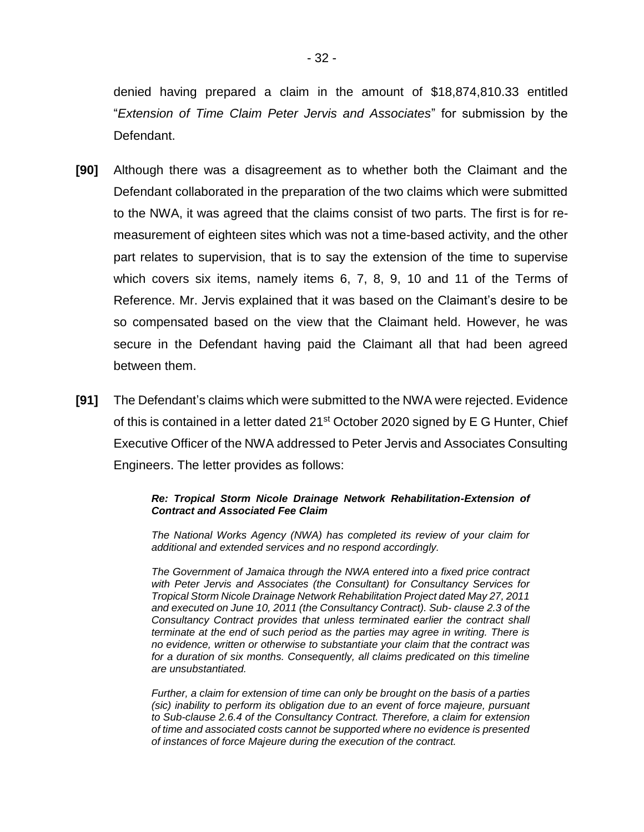denied having prepared a claim in the amount of \$18,874,810.33 entitled "*Extension of Time Claim Peter Jervis and Associates*" for submission by the Defendant.

- **[90]** Although there was a disagreement as to whether both the Claimant and the Defendant collaborated in the preparation of the two claims which were submitted to the NWA, it was agreed that the claims consist of two parts. The first is for remeasurement of eighteen sites which was not a time-based activity, and the other part relates to supervision, that is to say the extension of the time to supervise which covers six items, namely items 6, 7, 8, 9, 10 and 11 of the Terms of Reference. Mr. Jervis explained that it was based on the Claimant's desire to be so compensated based on the view that the Claimant held. However, he was secure in the Defendant having paid the Claimant all that had been agreed between them.
- **[91]** The Defendant's claims which were submitted to the NWA were rejected. Evidence of this is contained in a letter dated 21<sup>st</sup> October 2020 signed by E G Hunter, Chief Executive Officer of the NWA addressed to Peter Jervis and Associates Consulting Engineers. The letter provides as follows:

#### *Re: Tropical Storm Nicole Drainage Network Rehabilitation-Extension of Contract and Associated Fee Claim*

*The National Works Agency (NWA) has completed its review of your claim for additional and extended services and no respond accordingly.*

*The Government of Jamaica through the NWA entered into a fixed price contract with Peter Jervis and Associates (the Consultant) for Consultancy Services for Tropical Storm Nicole Drainage Network Rehabilitation Project dated May 27, 2011 and executed on June 10, 2011 (the Consultancy Contract). Sub- clause 2.3 of the Consultancy Contract provides that unless terminated earlier the contract shall terminate at the end of such period as the parties may agree in writing. There is no evidence, written or otherwise to substantiate your claim that the contract was for a duration of six months. Consequently, all claims predicated on this timeline are unsubstantiated.*

*Further, a claim for extension of time can only be brought on the basis of a parties (sic) inability to perform its obligation due to an event of force majeure, pursuant to Sub-clause 2.6.4 of the Consultancy Contract. Therefore, a claim for extension of time and associated costs cannot be supported where no evidence is presented of instances of force Majeure during the execution of the contract.*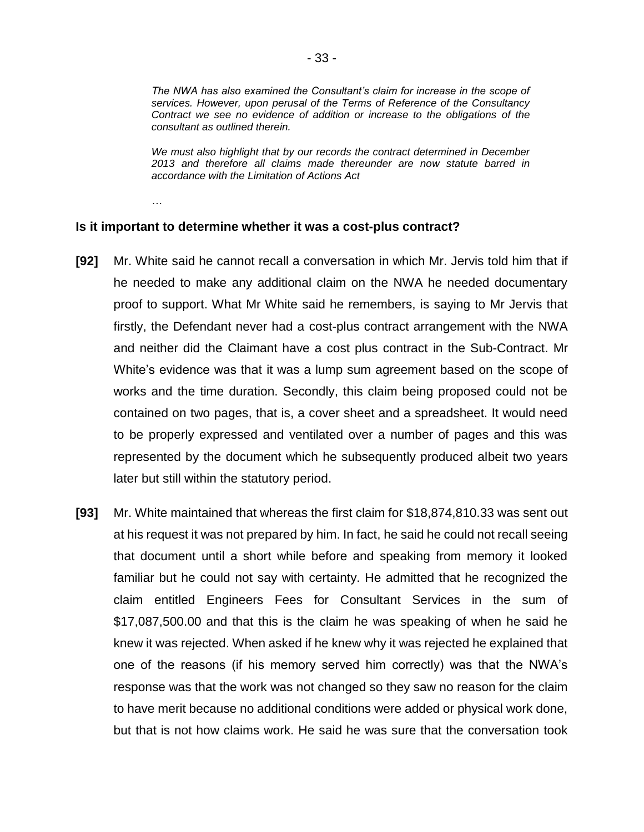*The NWA has also examined the Consultant's claim for increase in the scope of services. However, upon perusal of the Terms of Reference of the Consultancy Contract we see no evidence of addition or increase to the obligations of the consultant as outlined therein.*

*We must also highlight that by our records the contract determined in December 2013 and therefore all claims made thereunder are now statute barred in accordance with the Limitation of Actions Act*

*…*

#### **Is it important to determine whether it was a cost-plus contract?**

- **[92]** Mr. White said he cannot recall a conversation in which Mr. Jervis told him that if he needed to make any additional claim on the NWA he needed documentary proof to support. What Mr White said he remembers, is saying to Mr Jervis that firstly, the Defendant never had a cost-plus contract arrangement with the NWA and neither did the Claimant have a cost plus contract in the Sub-Contract. Mr White's evidence was that it was a lump sum agreement based on the scope of works and the time duration. Secondly, this claim being proposed could not be contained on two pages, that is, a cover sheet and a spreadsheet. It would need to be properly expressed and ventilated over a number of pages and this was represented by the document which he subsequently produced albeit two years later but still within the statutory period.
- **[93]** Mr. White maintained that whereas the first claim for \$18,874,810.33 was sent out at his request it was not prepared by him. In fact, he said he could not recall seeing that document until a short while before and speaking from memory it looked familiar but he could not say with certainty. He admitted that he recognized the claim entitled Engineers Fees for Consultant Services in the sum of \$17,087,500.00 and that this is the claim he was speaking of when he said he knew it was rejected. When asked if he knew why it was rejected he explained that one of the reasons (if his memory served him correctly) was that the NWA's response was that the work was not changed so they saw no reason for the claim to have merit because no additional conditions were added or physical work done, but that is not how claims work. He said he was sure that the conversation took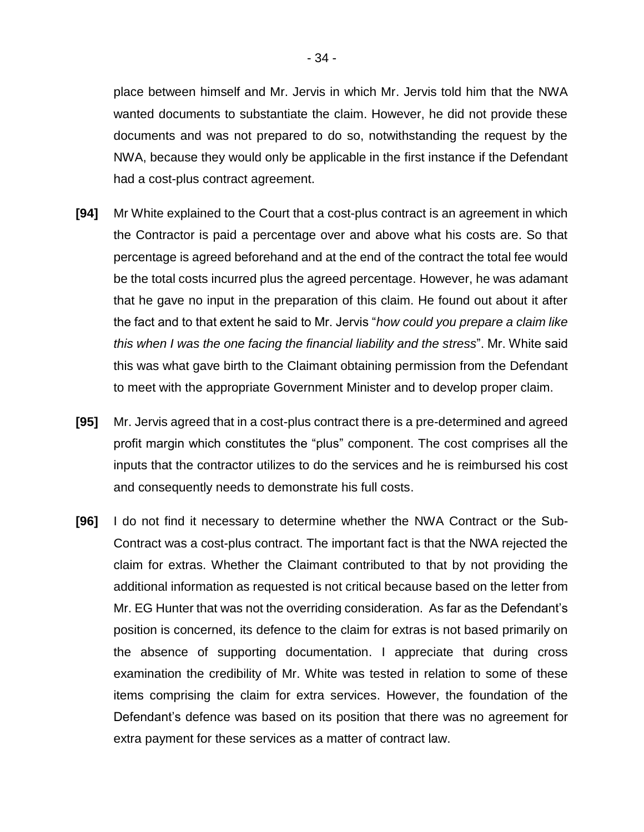place between himself and Mr. Jervis in which Mr. Jervis told him that the NWA wanted documents to substantiate the claim. However, he did not provide these documents and was not prepared to do so, notwithstanding the request by the NWA, because they would only be applicable in the first instance if the Defendant had a cost-plus contract agreement.

- **[94]** Mr White explained to the Court that a cost-plus contract is an agreement in which the Contractor is paid a percentage over and above what his costs are. So that percentage is agreed beforehand and at the end of the contract the total fee would be the total costs incurred plus the agreed percentage. However, he was adamant that he gave no input in the preparation of this claim. He found out about it after the fact and to that extent he said to Mr. Jervis "*how could you prepare a claim like this when I was the one facing the financial liability and the stress*". Mr. White said this was what gave birth to the Claimant obtaining permission from the Defendant to meet with the appropriate Government Minister and to develop proper claim.
- **[95]** Mr. Jervis agreed that in a cost-plus contract there is a pre-determined and agreed profit margin which constitutes the "plus" component. The cost comprises all the inputs that the contractor utilizes to do the services and he is reimbursed his cost and consequently needs to demonstrate his full costs.
- **[96]** I do not find it necessary to determine whether the NWA Contract or the Sub-Contract was a cost-plus contract. The important fact is that the NWA rejected the claim for extras. Whether the Claimant contributed to that by not providing the additional information as requested is not critical because based on the letter from Mr. EG Hunter that was not the overriding consideration. As far as the Defendant's position is concerned, its defence to the claim for extras is not based primarily on the absence of supporting documentation. I appreciate that during cross examination the credibility of Mr. White was tested in relation to some of these items comprising the claim for extra services. However, the foundation of the Defendant's defence was based on its position that there was no agreement for extra payment for these services as a matter of contract law.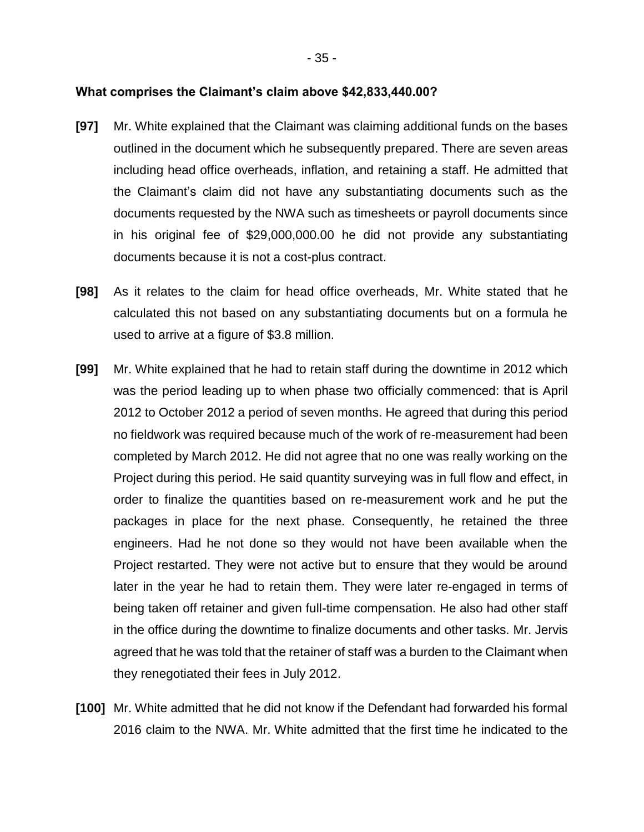#### **What comprises the Claimant's claim above \$42,833,440.00?**

- **[97]** Mr. White explained that the Claimant was claiming additional funds on the bases outlined in the document which he subsequently prepared. There are seven areas including head office overheads, inflation, and retaining a staff. He admitted that the Claimant's claim did not have any substantiating documents such as the documents requested by the NWA such as timesheets or payroll documents since in his original fee of \$29,000,000.00 he did not provide any substantiating documents because it is not a cost-plus contract.
- **[98]** As it relates to the claim for head office overheads, Mr. White stated that he calculated this not based on any substantiating documents but on a formula he used to arrive at a figure of \$3.8 million.
- **[99]** Mr. White explained that he had to retain staff during the downtime in 2012 which was the period leading up to when phase two officially commenced: that is April 2012 to October 2012 a period of seven months. He agreed that during this period no fieldwork was required because much of the work of re-measurement had been completed by March 2012. He did not agree that no one was really working on the Project during this period. He said quantity surveying was in full flow and effect, in order to finalize the quantities based on re-measurement work and he put the packages in place for the next phase. Consequently, he retained the three engineers. Had he not done so they would not have been available when the Project restarted. They were not active but to ensure that they would be around later in the year he had to retain them. They were later re-engaged in terms of being taken off retainer and given full-time compensation. He also had other staff in the office during the downtime to finalize documents and other tasks. Mr. Jervis agreed that he was told that the retainer of staff was a burden to the Claimant when they renegotiated their fees in July 2012.
- **[100]** Mr. White admitted that he did not know if the Defendant had forwarded his formal 2016 claim to the NWA. Mr. White admitted that the first time he indicated to the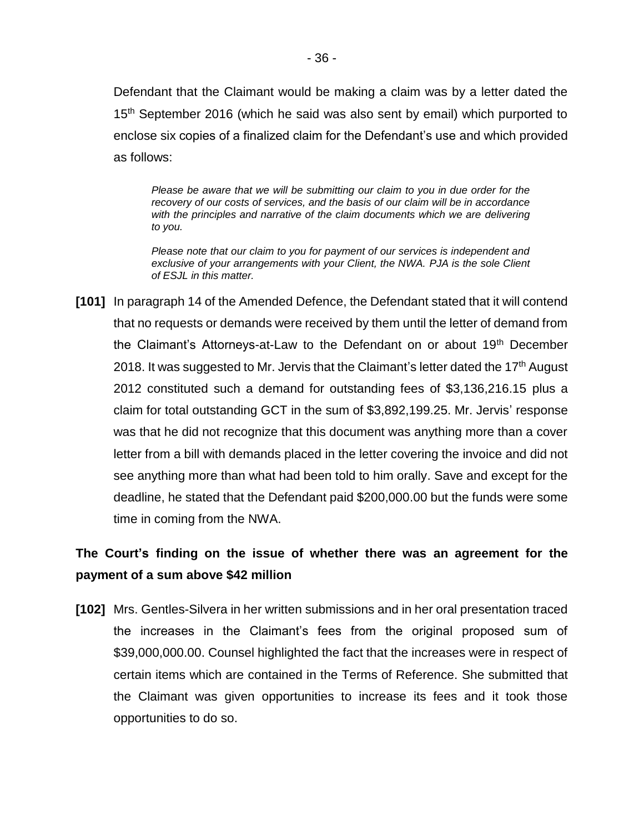Defendant that the Claimant would be making a claim was by a letter dated the 15<sup>th</sup> September 2016 (which he said was also sent by email) which purported to enclose six copies of a finalized claim for the Defendant's use and which provided as follows:

*Please be aware that we will be submitting our claim to you in due order for the recovery of our costs of services, and the basis of our claim will be in accordance*  with the principles and narrative of the claim documents which we are delivering *to you.*

*Please note that our claim to you for payment of our services is independent and exclusive of your arrangements with your Client, the NWA. PJA is the sole Client of ESJL in this matter.*

**[101]** In paragraph 14 of the Amended Defence, the Defendant stated that it will contend that no requests or demands were received by them until the letter of demand from the Claimant's Attorneys-at-Law to the Defendant on or about 19<sup>th</sup> December 2018. It was suggested to Mr. Jervis that the Claimant's letter dated the 17<sup>th</sup> August 2012 constituted such a demand for outstanding fees of \$3,136,216.15 plus a claim for total outstanding GCT in the sum of \$3,892,199.25. Mr. Jervis' response was that he did not recognize that this document was anything more than a cover letter from a bill with demands placed in the letter covering the invoice and did not see anything more than what had been told to him orally. Save and except for the deadline, he stated that the Defendant paid \$200,000.00 but the funds were some time in coming from the NWA.

# **The Court's finding on the issue of whether there was an agreement for the payment of a sum above \$42 million**

**[102]** Mrs. Gentles-Silvera in her written submissions and in her oral presentation traced the increases in the Claimant's fees from the original proposed sum of \$39,000,000.00. Counsel highlighted the fact that the increases were in respect of certain items which are contained in the Terms of Reference. She submitted that the Claimant was given opportunities to increase its fees and it took those opportunities to do so.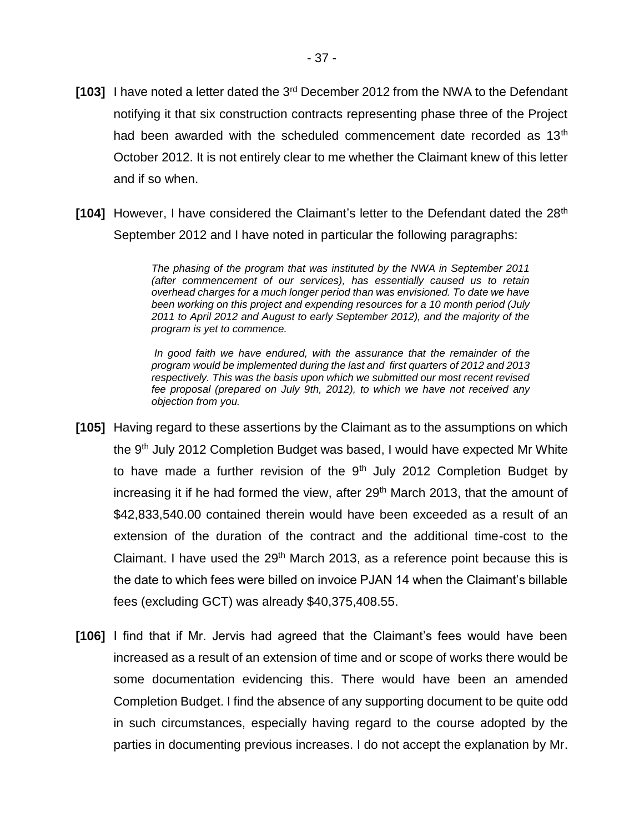- **[103]** I have noted a letter dated the 3rd December 2012 from the NWA to the Defendant notifying it that six construction contracts representing phase three of the Project had been awarded with the scheduled commencement date recorded as 13<sup>th</sup> October 2012. It is not entirely clear to me whether the Claimant knew of this letter and if so when.
- **[104]** However, I have considered the Claimant's letter to the Defendant dated the 28<sup>th</sup> September 2012 and I have noted in particular the following paragraphs:

*The phasing of the program that was instituted by the NWA in September 2011 (after commencement of our services), has essentially caused us to retain overhead charges for a much longer period than was envisioned. To date we have been working on this project and expending resources for a 10 month period (July 2011 to April 2012 and August to early September 2012), and the majority of the program is yet to commence.*

*In good faith we have endured, with the assurance that the remainder of the program would be implemented during the last and first quarters of 2012 and 2013 respectively. This was the basis upon which we submitted our most recent revised fee proposal (prepared on July 9th, 2012), to which we have not received any objection from you.*

- **[105]** Having regard to these assertions by the Claimant as to the assumptions on which the 9<sup>th</sup> July 2012 Completion Budget was based, I would have expected Mr White to have made a further revision of the  $9<sup>th</sup>$  July 2012 Completion Budget by increasing it if he had formed the view, after 29<sup>th</sup> March 2013, that the amount of \$42,833,540.00 contained therein would have been exceeded as a result of an extension of the duration of the contract and the additional time-cost to the Claimant. I have used the  $29<sup>th</sup>$  March 2013, as a reference point because this is the date to which fees were billed on invoice PJAN 14 when the Claimant's billable fees (excluding GCT) was already \$40,375,408.55.
- **[106]** I find that if Mr. Jervis had agreed that the Claimant's fees would have been increased as a result of an extension of time and or scope of works there would be some documentation evidencing this. There would have been an amended Completion Budget. I find the absence of any supporting document to be quite odd in such circumstances, especially having regard to the course adopted by the parties in documenting previous increases. I do not accept the explanation by Mr.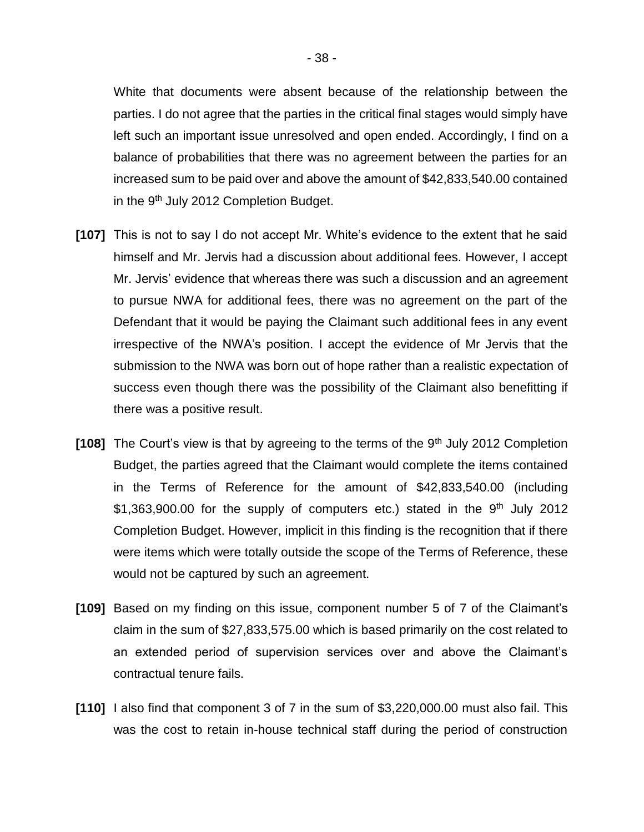White that documents were absent because of the relationship between the parties. I do not agree that the parties in the critical final stages would simply have left such an important issue unresolved and open ended. Accordingly, I find on a balance of probabilities that there was no agreement between the parties for an increased sum to be paid over and above the amount of \$42,833,540.00 contained in the 9<sup>th</sup> July 2012 Completion Budget.

- **[107]** This is not to say I do not accept Mr. White's evidence to the extent that he said himself and Mr. Jervis had a discussion about additional fees. However, I accept Mr. Jervis' evidence that whereas there was such a discussion and an agreement to pursue NWA for additional fees, there was no agreement on the part of the Defendant that it would be paying the Claimant such additional fees in any event irrespective of the NWA's position. I accept the evidence of Mr Jervis that the submission to the NWA was born out of hope rather than a realistic expectation of success even though there was the possibility of the Claimant also benefitting if there was a positive result.
- **[108]** The Court's view is that by agreeing to the terms of the 9<sup>th</sup> July 2012 Completion Budget, the parties agreed that the Claimant would complete the items contained in the Terms of Reference for the amount of \$42,833,540.00 (including \$1,363,900.00 for the supply of computers etc.) stated in the  $9<sup>th</sup>$  July 2012 Completion Budget. However, implicit in this finding is the recognition that if there were items which were totally outside the scope of the Terms of Reference, these would not be captured by such an agreement.
- **[109]** Based on my finding on this issue, component number 5 of 7 of the Claimant's claim in the sum of \$27,833,575.00 which is based primarily on the cost related to an extended period of supervision services over and above the Claimant's contractual tenure fails.
- **[110]** I also find that component 3 of 7 in the sum of \$3,220,000.00 must also fail. This was the cost to retain in-house technical staff during the period of construction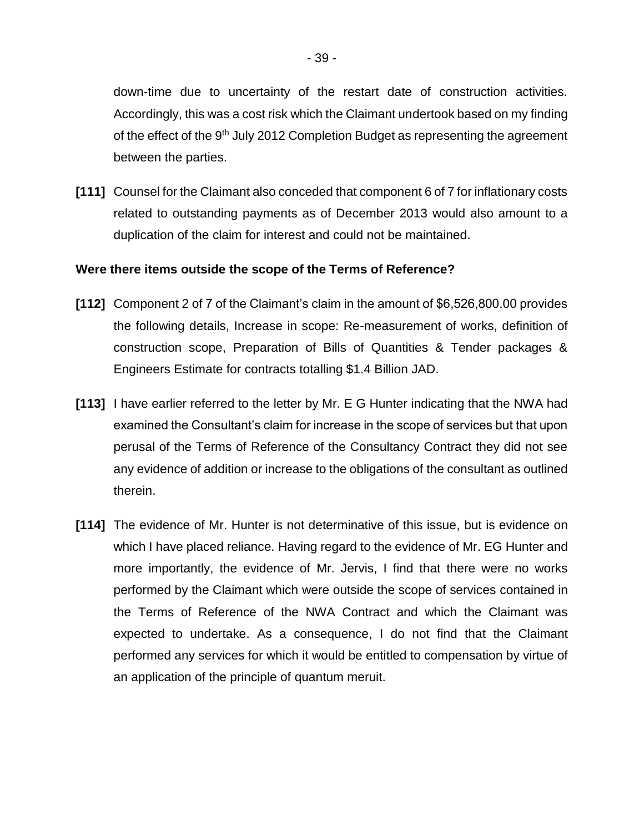down-time due to uncertainty of the restart date of construction activities. Accordingly, this was a cost risk which the Claimant undertook based on my finding of the effect of the 9<sup>th</sup> July 2012 Completion Budget as representing the agreement between the parties.

**[111]** Counsel for the Claimant also conceded that component 6 of 7 for inflationary costs related to outstanding payments as of December 2013 would also amount to a duplication of the claim for interest and could not be maintained.

### **Were there items outside the scope of the Terms of Reference?**

- **[112]** Component 2 of 7 of the Claimant's claim in the amount of \$6,526,800.00 provides the following details, Increase in scope: Re-measurement of works, definition of construction scope, Preparation of Bills of Quantities & Tender packages & Engineers Estimate for contracts totalling \$1.4 Billion JAD.
- **[113]** I have earlier referred to the letter by Mr. E G Hunter indicating that the NWA had examined the Consultant's claim for increase in the scope of services but that upon perusal of the Terms of Reference of the Consultancy Contract they did not see any evidence of addition or increase to the obligations of the consultant as outlined therein.
- **[114]** The evidence of Mr. Hunter is not determinative of this issue, but is evidence on which I have placed reliance. Having regard to the evidence of Mr. EG Hunter and more importantly, the evidence of Mr. Jervis, I find that there were no works performed by the Claimant which were outside the scope of services contained in the Terms of Reference of the NWA Contract and which the Claimant was expected to undertake. As a consequence, I do not find that the Claimant performed any services for which it would be entitled to compensation by virtue of an application of the principle of quantum meruit.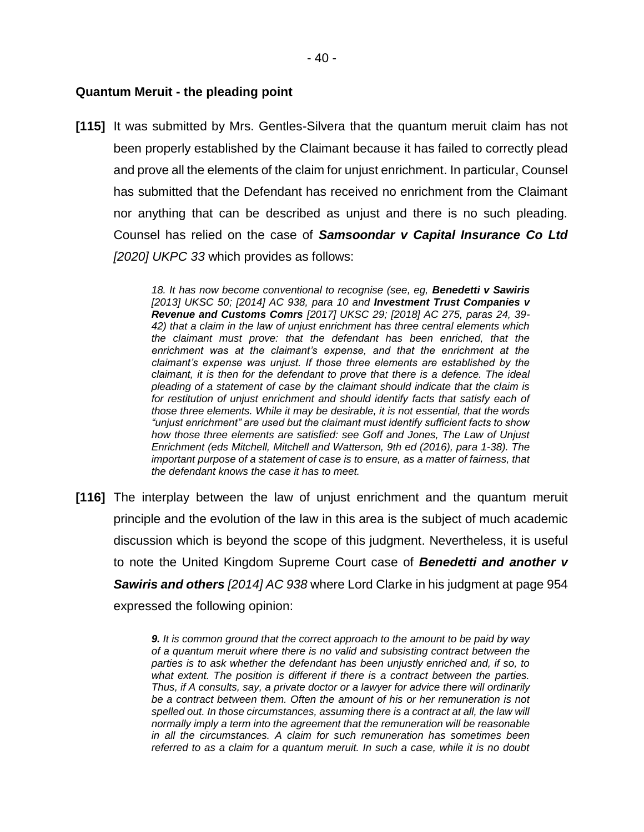#### **Quantum Meruit - the pleading point**

**[115]** It was submitted by Mrs. Gentles-Silvera that the quantum meruit claim has not been properly established by the Claimant because it has failed to correctly plead and prove all the elements of the claim for unjust enrichment. In particular, Counsel has submitted that the Defendant has received no enrichment from the Claimant nor anything that can be described as unjust and there is no such pleading. Counsel has relied on the case of *Samsoondar v Capital Insurance Co Ltd [2020] UKPC 33* which provides as follows:

> *18. It has now become conventional to recognise (see, eg, Benedetti v Sawiris [2013] UKSC 50; [2014] AC 938, para 10 and Investment Trust Companies v Revenue and Customs Comrs [2017] UKSC 29; [2018] AC 275, paras 24, 39- 42) that a claim in the law of unjust enrichment has three central elements which the claimant must prove: that the defendant has been enriched, that the enrichment was at the claimant's expense, and that the enrichment at the claimant's expense was unjust. If those three elements are established by the claimant, it is then for the defendant to prove that there is a defence. The ideal pleading of a statement of case by the claimant should indicate that the claim is for restitution of unjust enrichment and should identify facts that satisfy each of those three elements. While it may be desirable, it is not essential, that the words "unjust enrichment" are used but the claimant must identify sufficient facts to show how those three elements are satisfied: see Goff and Jones, The Law of Unjust Enrichment (eds Mitchell, Mitchell and Watterson, 9th ed (2016), para 1-38). The important purpose of a statement of case is to ensure, as a matter of fairness, that the defendant knows the case it has to meet.*

**[116]** The interplay between the law of unjust enrichment and the quantum meruit principle and the evolution of the law in this area is the subject of much academic discussion which is beyond the scope of this judgment. Nevertheless, it is useful to note the United Kingdom Supreme Court case of *Benedetti and another v Sawiris and others [2014] AC 938* where Lord Clarke in his judgment at page 954 expressed the following opinion:

> *9. It is common ground that the correct approach to the amount to be paid by way of a quantum meruit where there is no valid and subsisting contract between the parties is to ask whether the defendant has been unjustly enriched and, if so, to what extent. The position is different if there is a contract between the parties. Thus, if A consults, say, a private doctor or a lawyer for advice there will ordinarily be a contract between them. Often the amount of his or her remuneration is not spelled out. In those circumstances, assuming there is a contract at all, the law will normally imply a term into the agreement that the remuneration will be reasonable in all the circumstances. A claim for such remuneration has sometimes been referred to as a claim for a quantum meruit. In such a case, while it is no doubt*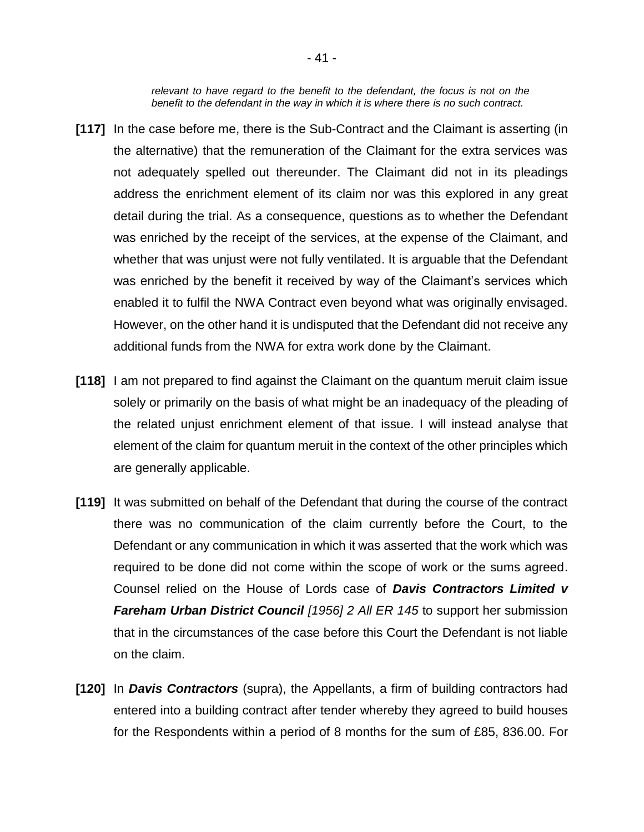*relevant to have regard to the benefit to the defendant, the focus is not on the benefit to the defendant in the way in which it is where there is no such contract.*

- **[117]** In the case before me, there is the Sub-Contract and the Claimant is asserting (in the alternative) that the remuneration of the Claimant for the extra services was not adequately spelled out thereunder. The Claimant did not in its pleadings address the enrichment element of its claim nor was this explored in any great detail during the trial. As a consequence, questions as to whether the Defendant was enriched by the receipt of the services, at the expense of the Claimant, and whether that was unjust were not fully ventilated. It is arguable that the Defendant was enriched by the benefit it received by way of the Claimant's services which enabled it to fulfil the NWA Contract even beyond what was originally envisaged. However, on the other hand it is undisputed that the Defendant did not receive any additional funds from the NWA for extra work done by the Claimant.
- **[118]** I am not prepared to find against the Claimant on the quantum meruit claim issue solely or primarily on the basis of what might be an inadequacy of the pleading of the related unjust enrichment element of that issue. I will instead analyse that element of the claim for quantum meruit in the context of the other principles which are generally applicable.
- **[119]** It was submitted on behalf of the Defendant that during the course of the contract there was no communication of the claim currently before the Court, to the Defendant or any communication in which it was asserted that the work which was required to be done did not come within the scope of work or the sums agreed. Counsel relied on the House of Lords case of *Davis Contractors Limited v Fareham Urban District Council [1956] 2 All ER 145* to support her submission that in the circumstances of the case before this Court the Defendant is not liable on the claim.
- **[120]** In *Davis Contractors* (supra), the Appellants, a firm of building contractors had entered into a building contract after tender whereby they agreed to build houses for the Respondents within a period of 8 months for the sum of £85, 836.00. For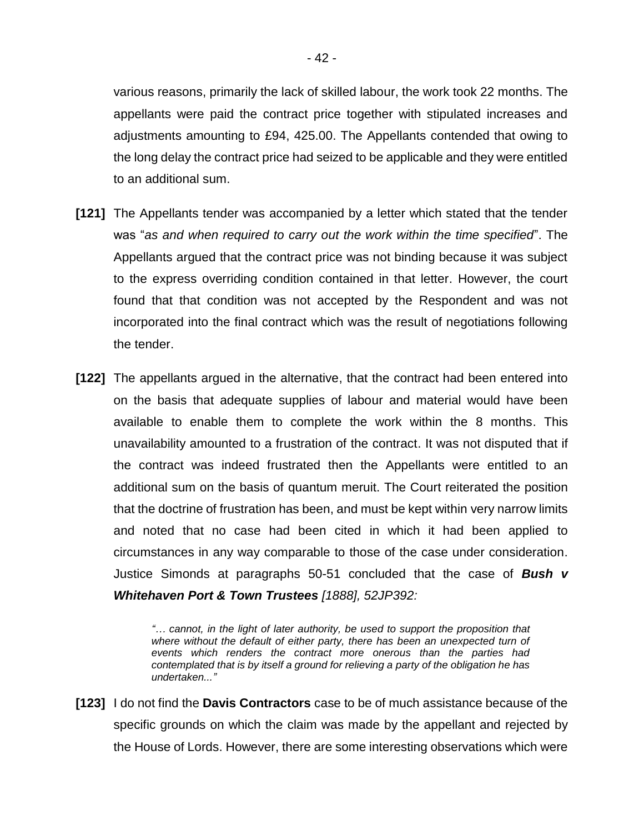various reasons, primarily the lack of skilled labour, the work took 22 months. The appellants were paid the contract price together with stipulated increases and adjustments amounting to £94, 425.00. The Appellants contended that owing to the long delay the contract price had seized to be applicable and they were entitled to an additional sum.

- **[121]** The Appellants tender was accompanied by a letter which stated that the tender was "*as and when required to carry out the work within the time specified*". The Appellants argued that the contract price was not binding because it was subject to the express overriding condition contained in that letter. However, the court found that that condition was not accepted by the Respondent and was not incorporated into the final contract which was the result of negotiations following the tender.
- **[122]** The appellants argued in the alternative, that the contract had been entered into on the basis that adequate supplies of labour and material would have been available to enable them to complete the work within the 8 months. This unavailability amounted to a frustration of the contract. It was not disputed that if the contract was indeed frustrated then the Appellants were entitled to an additional sum on the basis of quantum meruit. The Court reiterated the position that the doctrine of frustration has been, and must be kept within very narrow limits and noted that no case had been cited in which it had been applied to circumstances in any way comparable to those of the case under consideration. Justice Simonds at paragraphs 50-51 concluded that the case of *Bush v Whitehaven Port & Town Trustees [1888], 52JP392:*

*"… cannot, in the light of later authority, be used to support the proposition that*  where without the default of either party, there has been an unexpected turn of *events which renders the contract more onerous than the parties had contemplated that is by itself a ground for relieving a party of the obligation he has undertaken..."*

**[123]** I do not find the **Davis Contractors** case to be of much assistance because of the specific grounds on which the claim was made by the appellant and rejected by the House of Lords. However, there are some interesting observations which were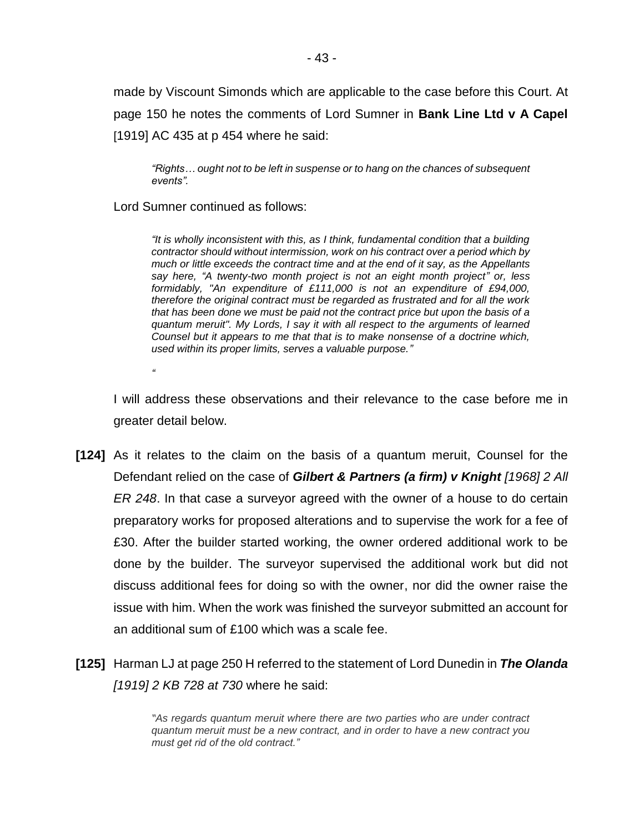made by Viscount Simonds which are applicable to the case before this Court. At page 150 he notes the comments of Lord Sumner in **Bank Line Ltd v A Capel**  [1919] AC 435 at p 454 where he said:

*"Rights… ought not to be left in suspense or to hang on the chances of subsequent events".*

Lord Sumner continued as follows:

*"*

*"It is wholly inconsistent with this, as I think, fundamental condition that a building contractor should without intermission, work on his contract over a period which by much or little exceeds the contract time and at the end of it say, as the Appellants say here, "A twenty-two month project is not an eight month project" or, less formidably, "An expenditure of £111,000 is not an expenditure of £94,000, therefore the original contract must be regarded as frustrated and for all the work that has been done we must be paid not the contract price but upon the basis of a quantum meruit". My Lords, I say it with all respect to the arguments of learned Counsel but it appears to me that that is to make nonsense of a doctrine which, used within its proper limits, serves a valuable purpose."*

I will address these observations and their relevance to the case before me in greater detail below.

- **[124]** As it relates to the claim on the basis of a quantum meruit, Counsel for the Defendant relied on the case of *Gilbert & Partners (a firm) v Knight [1968] 2 All ER 248*. In that case a surveyor agreed with the owner of a house to do certain preparatory works for proposed alterations and to supervise the work for a fee of £30. After the builder started working, the owner ordered additional work to be done by the builder. The surveyor supervised the additional work but did not discuss additional fees for doing so with the owner, nor did the owner raise the issue with him. When the work was finished the surveyor submitted an account for an additional sum of £100 which was a scale fee.
- **[125]** Harman LJ at page 250 H referred to the statement of Lord Dunedin in *The Olanda [1919] 2 KB 728 at 730* where he said:

*"As regards quantum meruit where there are two parties who are under contract quantum meruit must be a new contract, and in order to have a new contract you must get rid of the old contract."*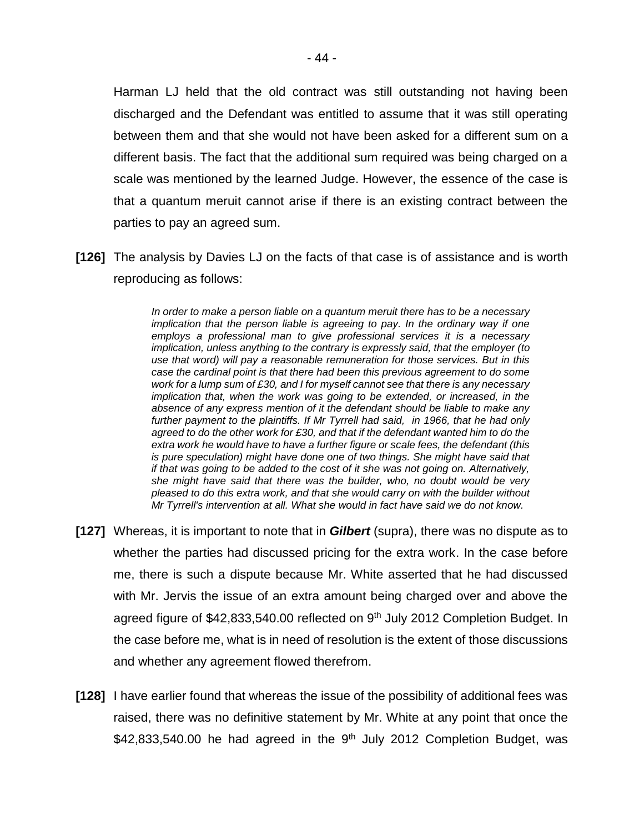Harman LJ held that the old contract was still outstanding not having been discharged and the Defendant was entitled to assume that it was still operating between them and that she would not have been asked for a different sum on a different basis. The fact that the additional sum required was being charged on a scale was mentioned by the learned Judge. However, the essence of the case is that a quantum meruit cannot arise if there is an existing contract between the parties to pay an agreed sum.

**[126]** The analysis by Davies LJ on the facts of that case is of assistance and is worth reproducing as follows:

> *In order to make a person liable on a quantum meruit there has to be a necessary implication that the person liable is agreeing to pay. In the ordinary way if one employs a professional man to give professional services it is a necessary implication, unless anything to the contrary is expressly said, that the employer (to use that word) will pay a reasonable remuneration for those services. But in this case the cardinal point is that there had been this previous agreement to do some work for a lump sum of £30, and I for myself cannot see that there is any necessary implication that, when the work was going to be extended, or increased, in the absence of any express mention of it the defendant should be liable to make any further payment to the plaintiffs. If Mr Tyrrell had said, in 1966, that he had only agreed to do the other work for £30, and that if the defendant wanted him to do the extra work he would have to have a further figure or scale fees, the defendant (this is pure speculation) might have done one of two things. She might have said that if that was going to be added to the cost of it she was not going on. Alternatively, she might have said that there was the builder, who, no doubt would be very pleased to do this extra work, and that she would carry on with the builder without Mr Tyrrell's intervention at all. What she would in fact have said we do not know.*

- **[127]** Whereas, it is important to note that in *Gilbert* (supra), there was no dispute as to whether the parties had discussed pricing for the extra work. In the case before me, there is such a dispute because Mr. White asserted that he had discussed with Mr. Jervis the issue of an extra amount being charged over and above the agreed figure of \$42,833,540.00 reflected on 9<sup>th</sup> July 2012 Completion Budget. In the case before me, what is in need of resolution is the extent of those discussions and whether any agreement flowed therefrom.
- **[128]** I have earlier found that whereas the issue of the possibility of additional fees was raised, there was no definitive statement by Mr. White at any point that once the  $$42,833,540.00$  he had agreed in the 9<sup>th</sup> July 2012 Completion Budget, was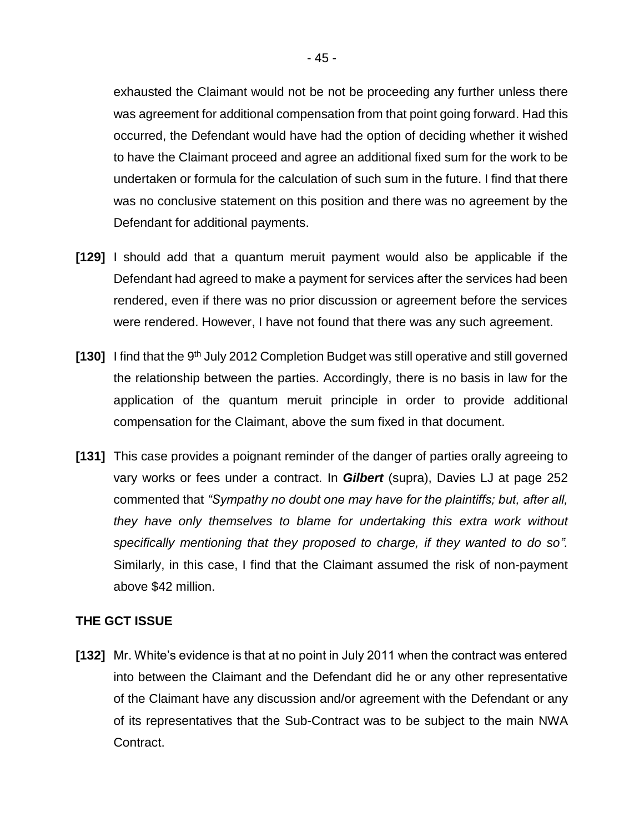exhausted the Claimant would not be not be proceeding any further unless there was agreement for additional compensation from that point going forward. Had this occurred, the Defendant would have had the option of deciding whether it wished to have the Claimant proceed and agree an additional fixed sum for the work to be undertaken or formula for the calculation of such sum in the future. I find that there was no conclusive statement on this position and there was no agreement by the Defendant for additional payments.

- **[129]** I should add that a quantum meruit payment would also be applicable if the Defendant had agreed to make a payment for services after the services had been rendered, even if there was no prior discussion or agreement before the services were rendered. However, I have not found that there was any such agreement.
- [130] I find that the 9<sup>th</sup> July 2012 Completion Budget was still operative and still governed the relationship between the parties. Accordingly, there is no basis in law for the application of the quantum meruit principle in order to provide additional compensation for the Claimant, above the sum fixed in that document.
- **[131]** This case provides a poignant reminder of the danger of parties orally agreeing to vary works or fees under a contract. In *Gilbert* (supra), Davies LJ at page 252 commented that *"Sympathy no doubt one may have for the plaintiffs; but, after all, they have only themselves to blame for undertaking this extra work without specifically mentioning that they proposed to charge, if they wanted to do so".* Similarly, in this case, I find that the Claimant assumed the risk of non-payment above \$42 million.

## **THE GCT ISSUE**

**[132]** Mr. White's evidence is that at no point in July 2011 when the contract was entered into between the Claimant and the Defendant did he or any other representative of the Claimant have any discussion and/or agreement with the Defendant or any of its representatives that the Sub-Contract was to be subject to the main NWA Contract.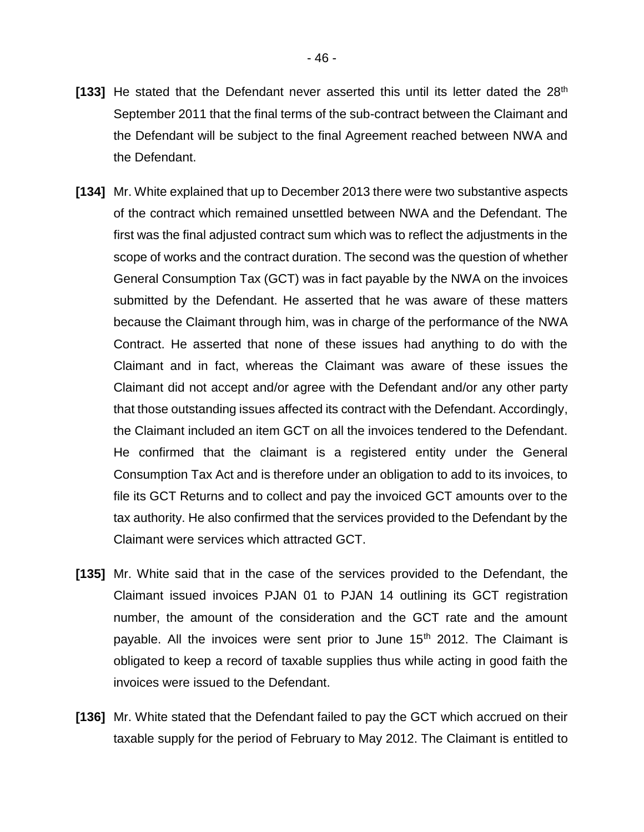- [133] He stated that the Defendant never asserted this until its letter dated the 28<sup>th</sup> September 2011 that the final terms of the sub-contract between the Claimant and the Defendant will be subject to the final Agreement reached between NWA and the Defendant.
- **[134]** Mr. White explained that up to December 2013 there were two substantive aspects of the contract which remained unsettled between NWA and the Defendant. The first was the final adjusted contract sum which was to reflect the adjustments in the scope of works and the contract duration. The second was the question of whether General Consumption Tax (GCT) was in fact payable by the NWA on the invoices submitted by the Defendant. He asserted that he was aware of these matters because the Claimant through him, was in charge of the performance of the NWA Contract. He asserted that none of these issues had anything to do with the Claimant and in fact, whereas the Claimant was aware of these issues the Claimant did not accept and/or agree with the Defendant and/or any other party that those outstanding issues affected its contract with the Defendant. Accordingly, the Claimant included an item GCT on all the invoices tendered to the Defendant. He confirmed that the claimant is a registered entity under the General Consumption Tax Act and is therefore under an obligation to add to its invoices, to file its GCT Returns and to collect and pay the invoiced GCT amounts over to the tax authority. He also confirmed that the services provided to the Defendant by the Claimant were services which attracted GCT.
- **[135]** Mr. White said that in the case of the services provided to the Defendant, the Claimant issued invoices PJAN 01 to PJAN 14 outlining its GCT registration number, the amount of the consideration and the GCT rate and the amount payable. All the invoices were sent prior to June 15<sup>th</sup> 2012. The Claimant is obligated to keep a record of taxable supplies thus while acting in good faith the invoices were issued to the Defendant.
- **[136]** Mr. White stated that the Defendant failed to pay the GCT which accrued on their taxable supply for the period of February to May 2012. The Claimant is entitled to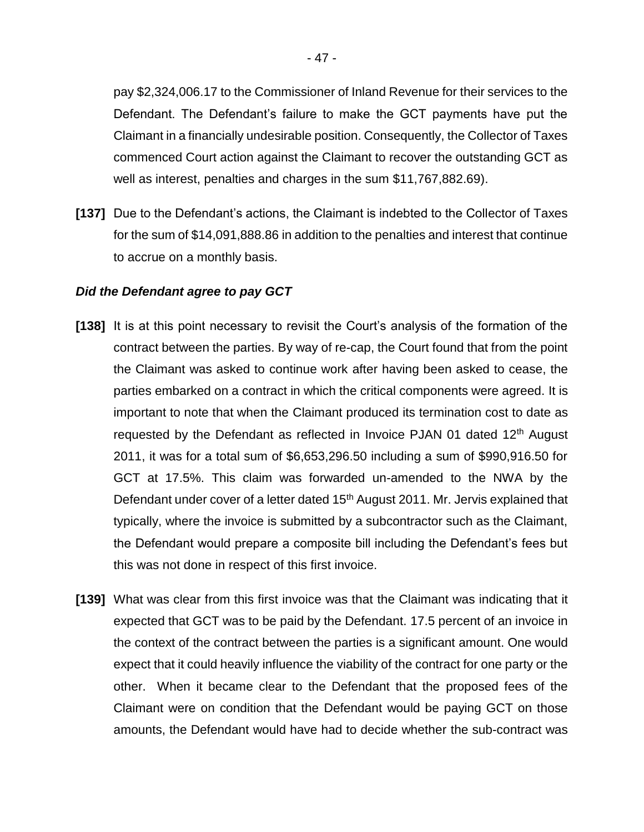pay \$2,324,006.17 to the Commissioner of Inland Revenue for their services to the Defendant. The Defendant's failure to make the GCT payments have put the Claimant in a financially undesirable position. Consequently, the Collector of Taxes commenced Court action against the Claimant to recover the outstanding GCT as well as interest, penalties and charges in the sum \$11,767,882.69).

**[137]** Due to the Defendant's actions, the Claimant is indebted to the Collector of Taxes for the sum of \$14,091,888.86 in addition to the penalties and interest that continue to accrue on a monthly basis.

## *Did the Defendant agree to pay GCT*

- **[138]** It is at this point necessary to revisit the Court's analysis of the formation of the contract between the parties. By way of re-cap, the Court found that from the point the Claimant was asked to continue work after having been asked to cease, the parties embarked on a contract in which the critical components were agreed. It is important to note that when the Claimant produced its termination cost to date as requested by the Defendant as reflected in Invoice PJAN 01 dated 12<sup>th</sup> August 2011, it was for a total sum of \$6,653,296.50 including a sum of \$990,916.50 for GCT at 17.5%. This claim was forwarded un-amended to the NWA by the Defendant under cover of a letter dated 15<sup>th</sup> August 2011. Mr. Jervis explained that typically, where the invoice is submitted by a subcontractor such as the Claimant, the Defendant would prepare a composite bill including the Defendant's fees but this was not done in respect of this first invoice.
- **[139]** What was clear from this first invoice was that the Claimant was indicating that it expected that GCT was to be paid by the Defendant. 17.5 percent of an invoice in the context of the contract between the parties is a significant amount. One would expect that it could heavily influence the viability of the contract for one party or the other. When it became clear to the Defendant that the proposed fees of the Claimant were on condition that the Defendant would be paying GCT on those amounts, the Defendant would have had to decide whether the sub-contract was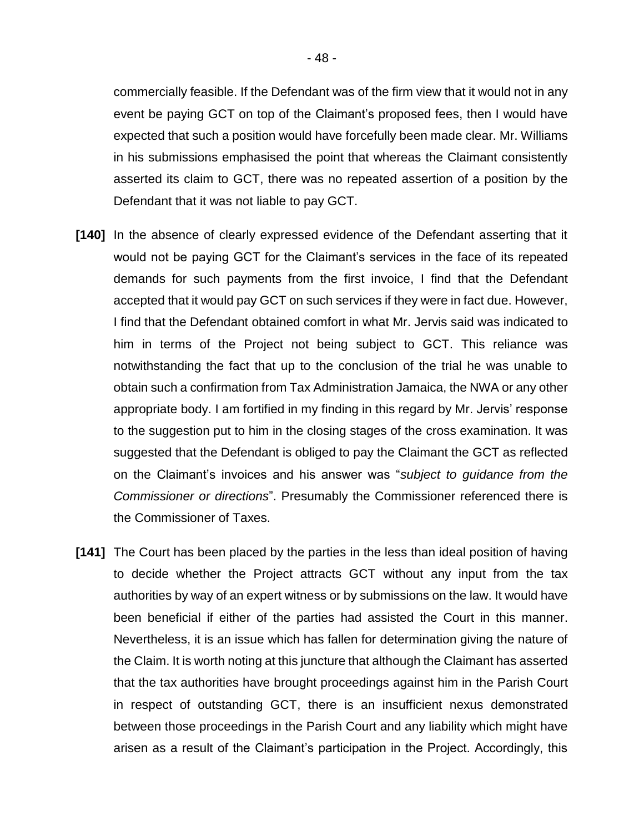commercially feasible. If the Defendant was of the firm view that it would not in any event be paying GCT on top of the Claimant's proposed fees, then I would have expected that such a position would have forcefully been made clear. Mr. Williams in his submissions emphasised the point that whereas the Claimant consistently asserted its claim to GCT, there was no repeated assertion of a position by the Defendant that it was not liable to pay GCT.

- **[140]** In the absence of clearly expressed evidence of the Defendant asserting that it would not be paying GCT for the Claimant's services in the face of its repeated demands for such payments from the first invoice, I find that the Defendant accepted that it would pay GCT on such services if they were in fact due. However, I find that the Defendant obtained comfort in what Mr. Jervis said was indicated to him in terms of the Project not being subject to GCT. This reliance was notwithstanding the fact that up to the conclusion of the trial he was unable to obtain such a confirmation from Tax Administration Jamaica, the NWA or any other appropriate body. I am fortified in my finding in this regard by Mr. Jervis' response to the suggestion put to him in the closing stages of the cross examination. It was suggested that the Defendant is obliged to pay the Claimant the GCT as reflected on the Claimant's invoices and his answer was "*subject to guidance from the Commissioner or directions*". Presumably the Commissioner referenced there is the Commissioner of Taxes.
- **[141]** The Court has been placed by the parties in the less than ideal position of having to decide whether the Project attracts GCT without any input from the tax authorities by way of an expert witness or by submissions on the law. It would have been beneficial if either of the parties had assisted the Court in this manner. Nevertheless, it is an issue which has fallen for determination giving the nature of the Claim. It is worth noting at this juncture that although the Claimant has asserted that the tax authorities have brought proceedings against him in the Parish Court in respect of outstanding GCT, there is an insufficient nexus demonstrated between those proceedings in the Parish Court and any liability which might have arisen as a result of the Claimant's participation in the Project. Accordingly, this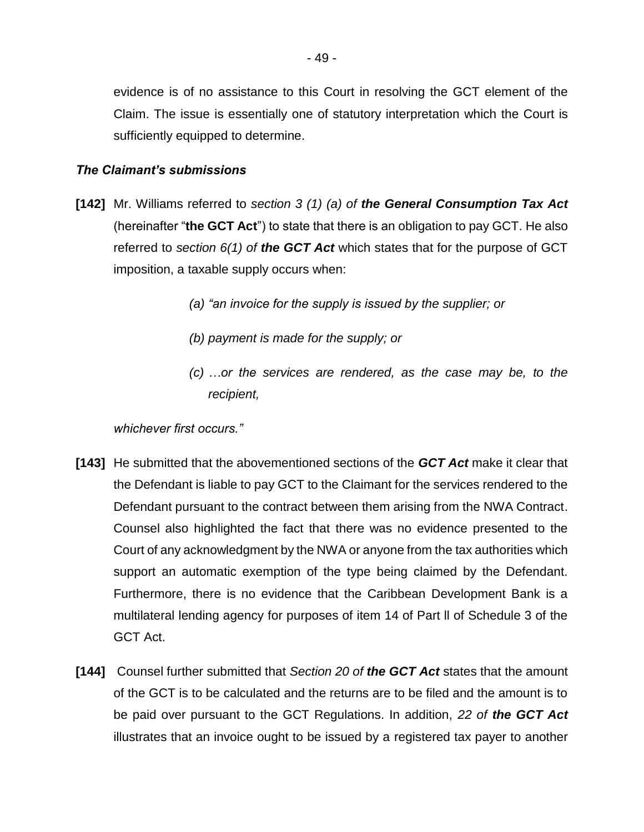evidence is of no assistance to this Court in resolving the GCT element of the Claim. The issue is essentially one of statutory interpretation which the Court is sufficiently equipped to determine.

## *The Claimant's submissions*

- **[142]** Mr. Williams referred to *section 3 (1) (a) of the General Consumption Tax Act* (hereinafter "**the GCT Act**") to state that there is an obligation to pay GCT. He also referred to *section 6(1) of the GCT Act* which states that for the purpose of GCT imposition, a taxable supply occurs when:
	- *(a) "an invoice for the supply is issued by the supplier; or*
	- *(b) payment is made for the supply; or*
	- *(c) …or the services are rendered, as the case may be, to the recipient,*

*whichever first occurs."*

- **[143]** He submitted that the abovementioned sections of the *GCT Act* make it clear that the Defendant is liable to pay GCT to the Claimant for the services rendered to the Defendant pursuant to the contract between them arising from the NWA Contract. Counsel also highlighted the fact that there was no evidence presented to the Court of any acknowledgment by the NWA or anyone from the tax authorities which support an automatic exemption of the type being claimed by the Defendant. Furthermore, there is no evidence that the Caribbean Development Bank is a multilateral lending agency for purposes of item 14 of Part ll of Schedule 3 of the GCT Act.
- **[144]** Counsel further submitted that *Section 20 of the GCT Act* states that the amount of the GCT is to be calculated and the returns are to be filed and the amount is to be paid over pursuant to the GCT Regulations. In addition, *22 of the GCT Act* illustrates that an invoice ought to be issued by a registered tax payer to another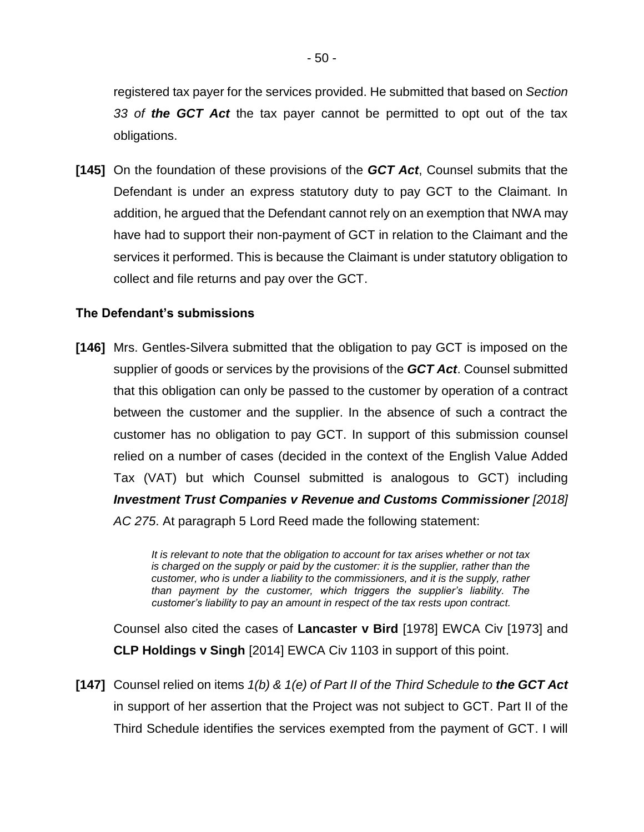registered tax payer for the services provided. He submitted that based on *Section 33 of the GCT Act* the tax payer cannot be permitted to opt out of the tax obligations.

**[145]** On the foundation of these provisions of the *GCT Act*, Counsel submits that the Defendant is under an express statutory duty to pay GCT to the Claimant. In addition, he argued that the Defendant cannot rely on an exemption that NWA may have had to support their non-payment of GCT in relation to the Claimant and the services it performed. This is because the Claimant is under statutory obligation to collect and file returns and pay over the GCT.

#### **The Defendant's submissions**

**[146]** Mrs. Gentles-Silvera submitted that the obligation to pay GCT is imposed on the supplier of goods or services by the provisions of the *GCT Act*. Counsel submitted that this obligation can only be passed to the customer by operation of a contract between the customer and the supplier. In the absence of such a contract the customer has no obligation to pay GCT. In support of this submission counsel relied on a number of cases (decided in the context of the English Value Added Tax (VAT) but which Counsel submitted is analogous to GCT) including *Investment Trust Companies v Revenue and Customs Commissioner [2018] AC 275*. At paragraph 5 Lord Reed made the following statement:

> *It is relevant to note that the obligation to account for tax arises whether or not tax is charged on the supply or paid by the customer: it is the supplier, rather than the customer, who is under a liability to the commissioners, and it is the supply, rather than payment by the customer, which triggers the supplier's liability. The customer's liability to pay an amount in respect of the tax rests upon contract.*

Counsel also cited the cases of **Lancaster v Bird** [1978] EWCA Civ [1973] and **CLP Holdings v Singh** [2014] EWCA Civ 1103 in support of this point.

**[147]** Counsel relied on items *1(b) & 1(e) of Part II of the Third Schedule to the GCT Act* in support of her assertion that the Project was not subject to GCT. Part II of the Third Schedule identifies the services exempted from the payment of GCT. I will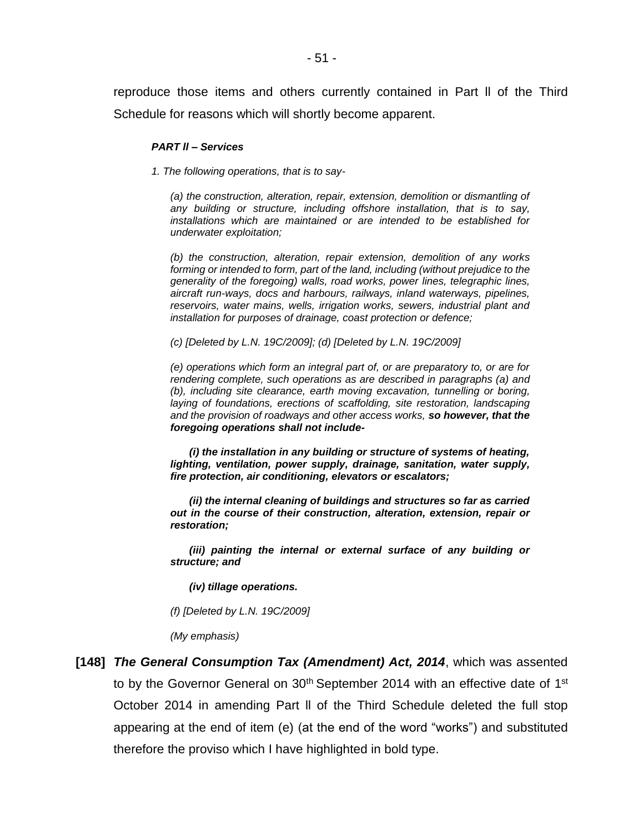reproduce those items and others currently contained in Part ll of the Third Schedule for reasons which will shortly become apparent.

#### *PART ll – Services*

*1. The following operations, that is to say-*

*(a) the construction, alteration, repair, extension, demolition or dismantling of any building or structure, including offshore installation, that is to say, installations which are maintained or are intended to be established for underwater exploitation;*

*(b) the construction, alteration, repair extension, demolition of any works forming or intended to form, part of the land, including (without prejudice to the generality of the foregoing) walls, road works, power lines, telegraphic lines, aircraft run-ways, docs and harbours, railways, inland waterways, pipelines, reservoirs, water mains, wells, irrigation works, sewers, industrial plant and installation for purposes of drainage, coast protection or defence;*

*(c) [Deleted by L.N. 19C/2009]; (d) [Deleted by L.N. 19C/2009]*

*(e) operations which form an integral part of, or are preparatory to, or are for rendering complete, such operations as are described in paragraphs (a) and (b), including site clearance, earth moving excavation, tunnelling or boring, laying of foundations, erections of scaffolding, site restoration, landscaping and the provision of roadways and other access works, so however, that the foregoing operations shall not include-*

*(i) the installation in any building or structure of systems of heating, lighting, ventilation, power supply, drainage, sanitation, water supply, fire protection, air conditioning, elevators or escalators;*

*(ii) the internal cleaning of buildings and structures so far as carried out in the course of their construction, alteration, extension, repair or restoration;*

*(iii) painting the internal or external surface of any building or structure; and*

*(iv) tillage operations.*

*(f) [Deleted by L.N. 19C/2009]*

*(My emphasis)*

**[148]** *The General Consumption Tax (Amendment) Act, 2014*, which was assented to by the Governor General on  $30<sup>th</sup>$  September 2014 with an effective date of 1<sup>st</sup> October 2014 in amending Part ll of the Third Schedule deleted the full stop appearing at the end of item (e) (at the end of the word "works") and substituted therefore the proviso which I have highlighted in bold type.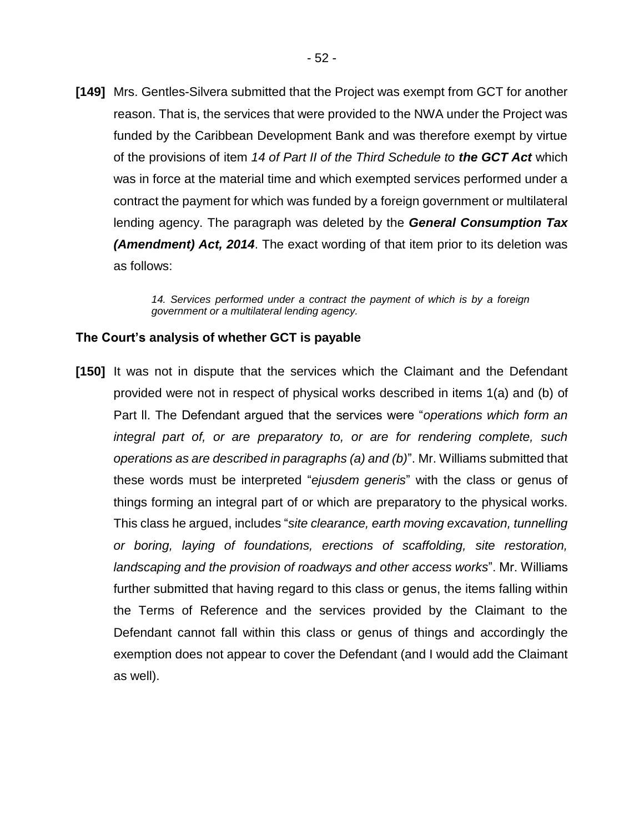**[149]** Mrs. Gentles-Silvera submitted that the Project was exempt from GCT for another reason. That is, the services that were provided to the NWA under the Project was funded by the Caribbean Development Bank and was therefore exempt by virtue of the provisions of item *14 of Part II of the Third Schedule to the GCT Act* which was in force at the material time and which exempted services performed under a contract the payment for which was funded by a foreign government or multilateral lending agency. The paragraph was deleted by the *General Consumption Tax (Amendment) Act, 2014*. The exact wording of that item prior to its deletion was as follows:

> *14. Services performed under a contract the payment of which is by a foreign government or a multilateral lending agency.*

### **The Court's analysis of whether GCT is payable**

**[150]** It was not in dispute that the services which the Claimant and the Defendant provided were not in respect of physical works described in items 1(a) and (b) of Part ll. The Defendant argued that the services were "*operations which form an integral part of, or are preparatory to, or are for rendering complete, such operations as are described in paragraphs (a) and (b)*". Mr. Williams submitted that these words must be interpreted "*ejusdem generis*" with the class or genus of things forming an integral part of or which are preparatory to the physical works. This class he argued, includes "*site clearance, earth moving excavation, tunnelling or boring, laying of foundations, erections of scaffolding, site restoration, landscaping and the provision of roadways and other access works*". Mr. Williams further submitted that having regard to this class or genus, the items falling within the Terms of Reference and the services provided by the Claimant to the Defendant cannot fall within this class or genus of things and accordingly the exemption does not appear to cover the Defendant (and I would add the Claimant as well).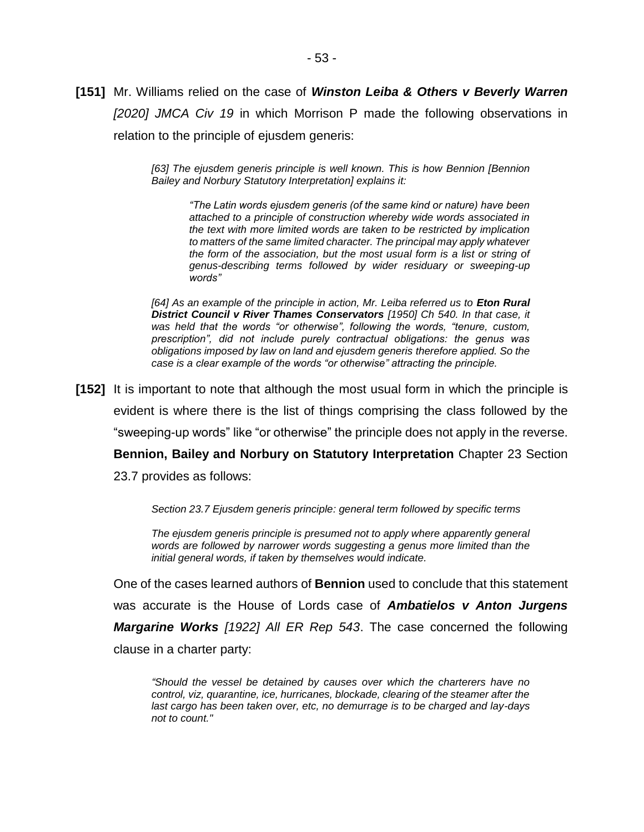*[63] The ejusdem generis principle is well known. This is how Bennion [Bennion Bailey and Norbury Statutory Interpretation] explains it:*

*"The Latin words ejusdem generis (of the same kind or nature) have been attached to a principle of construction whereby wide words associated in the text with more limited words are taken to be restricted by implication to matters of the same limited character. The principal may apply whatever the form of the association, but the most usual form is a list or string of genus-describing terms followed by wider residuary or sweeping-up words"*

[64] As an example of the principle in action, Mr. Leiba referred us to **Eton Rural** *District Council v River Thames Conservators [1950] Ch 540. In that case, it was held that the words "or otherwise", following the words, "tenure, custom, prescription", did not include purely contractual obligations: the genus was obligations imposed by law on land and ejusdem generis therefore applied. So the case is a clear example of the words "or otherwise" attracting the principle.*

**[152]** It is important to note that although the most usual form in which the principle is evident is where there is the list of things comprising the class followed by the "sweeping-up words" like "or otherwise" the principle does not apply in the reverse. **Bennion, Bailey and Norbury on Statutory Interpretation** Chapter 23 Section

23.7 provides as follows:

*Section 23.7 Ejusdem generis principle: general term followed by specific terms*

*The ejusdem generis principle is presumed not to apply where apparently general words are followed by narrower words suggesting a genus more limited than the initial general words, if taken by themselves would indicate.*

One of the cases learned authors of **Bennion** used to conclude that this statement was accurate is the House of Lords case of *Ambatielos v Anton Jurgens Margarine Works [1922] All ER Rep 543*. The case concerned the following clause in a charter party:

*"Should the vessel be detained by causes over which the charterers have no control, viz, quarantine, ice, hurricanes, blockade, clearing of the steamer after the last cargo has been taken over, etc, no demurrage is to be charged and lay-days not to count."*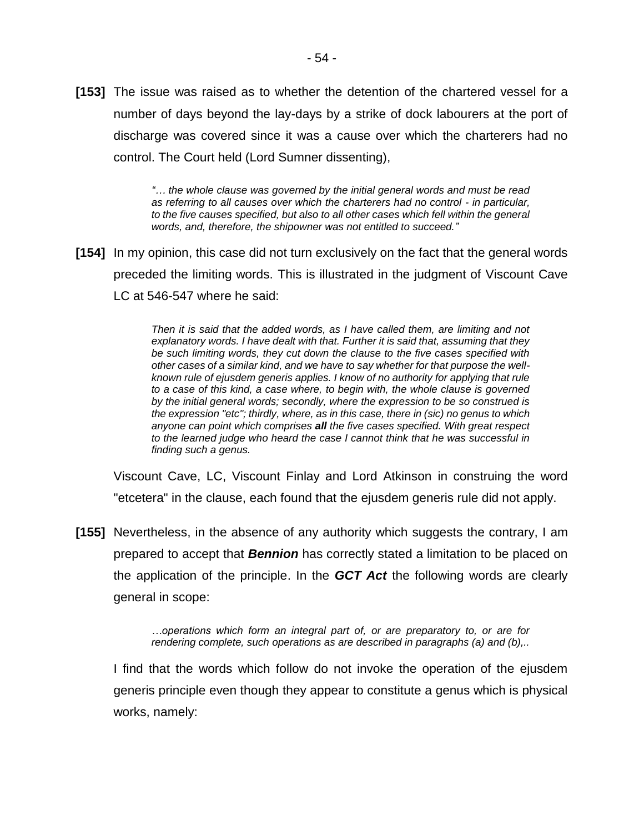**[153]** The issue was raised as to whether the detention of the chartered vessel for a number of days beyond the lay-days by a strike of dock labourers at the port of discharge was covered since it was a cause over which the charterers had no control. The Court held (Lord Sumner dissenting),

> *"… the whole clause was governed by the initial general words and must be read as referring to all causes over which the charterers had no control - in particular, to the five causes specified, but also to all other cases which fell within the general words, and, therefore, the shipowner was not entitled to succeed."*

**[154]** In my opinion, this case did not turn exclusively on the fact that the general words preceded the limiting words. This is illustrated in the judgment of Viscount Cave LC at 546-547 where he said:

> *Then it is said that the added words, as I have called them, are limiting and not explanatory words. I have dealt with that. Further it is said that, assuming that they be such limiting words, they cut down the clause to the five cases specified with other cases of a similar kind, and we have to say whether for that purpose the wellknown rule of ejusdem generis applies. I know of no authority for applying that rule to a case of this kind, a case where, to begin with, the whole clause is governed by the initial general words; secondly, where the expression to be so construed is the expression "etc"; thirdly, where, as in this case, there in (sic) no genus to which anyone can point which comprises all the five cases specified. With great respect to the learned judge who heard the case I cannot think that he was successful in finding such a genus.*

Viscount Cave, LC, Viscount Finlay and Lord Atkinson in construing the word "etcetera" in the clause, each found that the ejusdem generis rule did not apply.

**[155]** Nevertheless, in the absence of any authority which suggests the contrary, I am prepared to accept that *Bennion* has correctly stated a limitation to be placed on the application of the principle. In the *GCT Act* the following words are clearly general in scope:

> *…operations which form an integral part of, or are preparatory to, or are for rendering complete, such operations as are described in paragraphs (a) and (b),..*

I find that the words which follow do not invoke the operation of the ejusdem generis principle even though they appear to constitute a genus which is physical works, namely: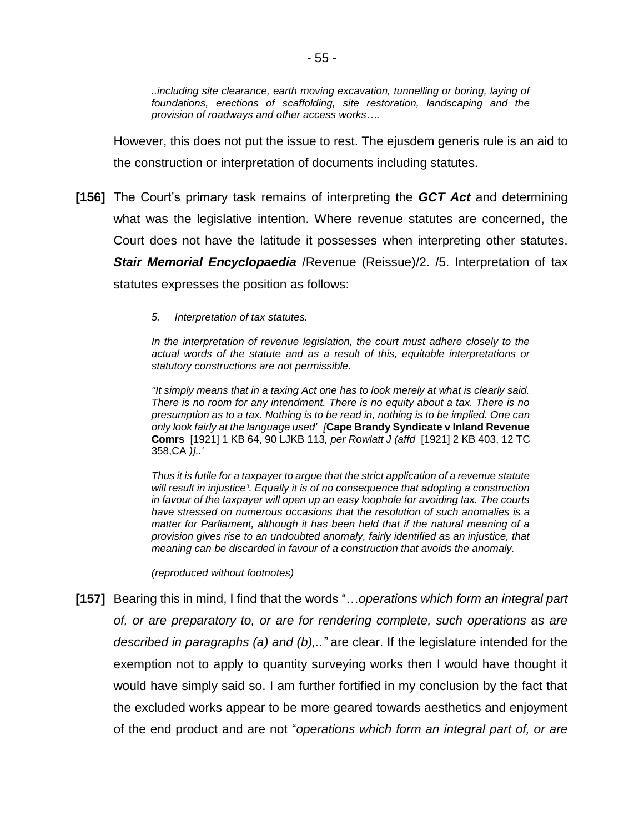*..including site clearance, earth moving excavation, tunnelling or boring, laying of foundations, erections of scaffolding, site restoration, landscaping and the provision of roadways and other access works….*

However, this does not put the issue to rest. The ejusdem generis rule is an aid to the construction or interpretation of documents including statutes.

- **[156]** The Court's primary task remains of interpreting the *GCT Act* and determining what was the legislative intention. Where revenue statutes are concerned, the Court does not have the latitude it possesses when interpreting other statutes. *Stair Memorial Encyclopaedia* /Revenue (Reissue)/2. /5. Interpretation of tax statutes expresses the position as follows:
	- *5. Interpretation of tax statutes.*

*In the interpretation of revenue legislation, the court must adhere closely to the actual words of the statute and as a result of this, equitable interpretations or statutory constructions are not permissible.*

*''It simply means that in a taxing Act one has to look merely at what is clearly said. There is no room for any intendment. There is no equity about a tax. There is no presumption as to a tax. Nothing is to be read in, nothing is to be implied. One can only look fairly at the language used' [***Cape Brandy Syndicate v Inland Revenue Comrs**[\[1921\] 1 KB 64,](https://www.lexisnexis.com/uk/legal/citationlinkHandler.faces?bct=A&service=citation&risb=&KB&$sel1!%251921%25$year!%251921%25$sel2!%251%25$vol!%251%25$page!%2564%25) 90 LJKB 113*, per Rowlatt J (affd* [\[1921\] 2 KB 403,](https://www.lexisnexis.com/uk/legal/citationlinkHandler.faces?bct=A&service=citation&risb=&KB&$sel1!%251921%25$year!%251921%25$sel2!%252%25$vol!%252%25$page!%25403%25) [12 TC](https://www.lexisnexis.com/uk/legal/citationlinkHandler.faces?bct=A&service=citation&risb=&HMSOTC&$sel2!%2512%25$vol!%2512%25$page!%25358%25)  [358,](https://www.lexisnexis.com/uk/legal/citationlinkHandler.faces?bct=A&service=citation&risb=&HMSOTC&$sel2!%2512%25$vol!%2512%25$page!%25358%25)CA *)]..'*

*Thus it is futile for a taxpayer to argue that the strict application of a revenue statute will result in injustice<sup>3</sup> . Equally it is of no consequence that adopting a construction in favour of the taxpayer will open up an easy loophole for avoiding tax. The courts have stressed on numerous occasions that the resolution of such anomalies is a matter for Parliament, although it has been held that if the natural meaning of a provision gives rise to an undoubted anomaly, fairly identified as an injustice, that meaning can be discarded in favour of a construction that avoids the anomaly.*

*(reproduced without footnotes)*

**[157]** Bearing this in mind, I find that the words "…*operations which form an integral part of, or are preparatory to, or are for rendering complete, such operations as are described in paragraphs (a) and (b),.."* are clear. If the legislature intended for the exemption not to apply to quantity surveying works then I would have thought it would have simply said so. I am further fortified in my conclusion by the fact that the excluded works appear to be more geared towards aesthetics and enjoyment of the end product and are not "*operations which form an integral part of, or are*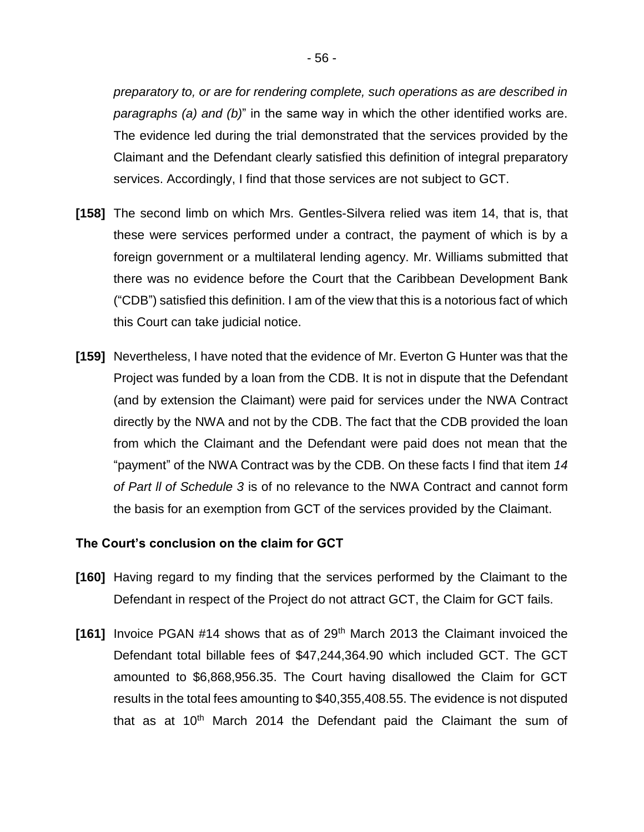*preparatory to, or are for rendering complete, such operations as are described in paragraphs (a) and (b)*" in the same way in which the other identified works are. The evidence led during the trial demonstrated that the services provided by the Claimant and the Defendant clearly satisfied this definition of integral preparatory services. Accordingly, I find that those services are not subject to GCT.

- **[158]** The second limb on which Mrs. Gentles-Silvera relied was item 14, that is, that these were services performed under a contract, the payment of which is by a foreign government or a multilateral lending agency. Mr. Williams submitted that there was no evidence before the Court that the Caribbean Development Bank ("CDB") satisfied this definition. I am of the view that this is a notorious fact of which this Court can take judicial notice.
- **[159]** Nevertheless, I have noted that the evidence of Mr. Everton G Hunter was that the Project was funded by a loan from the CDB. It is not in dispute that the Defendant (and by extension the Claimant) were paid for services under the NWA Contract directly by the NWA and not by the CDB. The fact that the CDB provided the loan from which the Claimant and the Defendant were paid does not mean that the "payment" of the NWA Contract was by the CDB. On these facts I find that item *14 of Part ll of Schedule 3* is of no relevance to the NWA Contract and cannot form the basis for an exemption from GCT of the services provided by the Claimant.

#### **The Court's conclusion on the claim for GCT**

- **[160]** Having regard to my finding that the services performed by the Claimant to the Defendant in respect of the Project do not attract GCT, the Claim for GCT fails.
- **[161]** Invoice PGAN #14 shows that as of 29th March 2013 the Claimant invoiced the Defendant total billable fees of \$47,244,364.90 which included GCT. The GCT amounted to \$6,868,956.35. The Court having disallowed the Claim for GCT results in the total fees amounting to \$40,355,408.55. The evidence is not disputed that as at  $10<sup>th</sup>$  March 2014 the Defendant paid the Claimant the sum of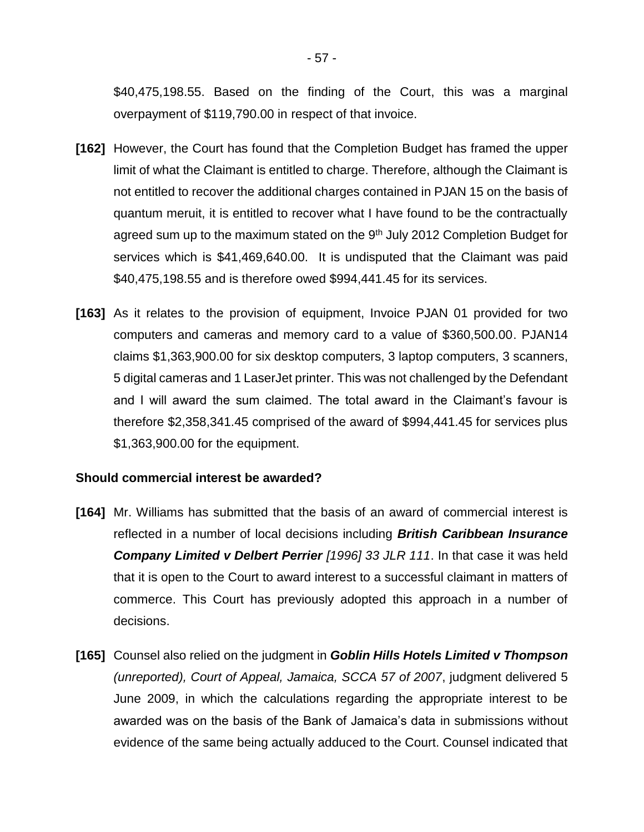\$40,475,198.55. Based on the finding of the Court, this was a marginal overpayment of \$119,790.00 in respect of that invoice.

- **[162]** However, the Court has found that the Completion Budget has framed the upper limit of what the Claimant is entitled to charge. Therefore, although the Claimant is not entitled to recover the additional charges contained in PJAN 15 on the basis of quantum meruit, it is entitled to recover what I have found to be the contractually agreed sum up to the maximum stated on the 9<sup>th</sup> July 2012 Completion Budget for services which is \$41,469,640.00. It is undisputed that the Claimant was paid \$40,475,198.55 and is therefore owed \$994,441.45 for its services.
- **[163]** As it relates to the provision of equipment, Invoice PJAN 01 provided for two computers and cameras and memory card to a value of \$360,500.00. PJAN14 claims \$1,363,900.00 for six desktop computers, 3 laptop computers, 3 scanners, 5 digital cameras and 1 LaserJet printer. This was not challenged by the Defendant and I will award the sum claimed. The total award in the Claimant's favour is therefore \$2,358,341.45 comprised of the award of \$994,441.45 for services plus \$1,363,900.00 for the equipment.

#### **Should commercial interest be awarded?**

- **[164]** Mr. Williams has submitted that the basis of an award of commercial interest is reflected in a number of local decisions including *British Caribbean Insurance Company Limited v Delbert Perrier [1996] 33 JLR 111*. In that case it was held that it is open to the Court to award interest to a successful claimant in matters of commerce. This Court has previously adopted this approach in a number of decisions.
- **[165]** Counsel also relied on the judgment in *Goblin Hills Hotels Limited v Thompson (unreported), Court of Appeal, Jamaica, SCCA 57 of 2007*, judgment delivered 5 June 2009, in which the calculations regarding the appropriate interest to be awarded was on the basis of the Bank of Jamaica's data in submissions without evidence of the same being actually adduced to the Court. Counsel indicated that